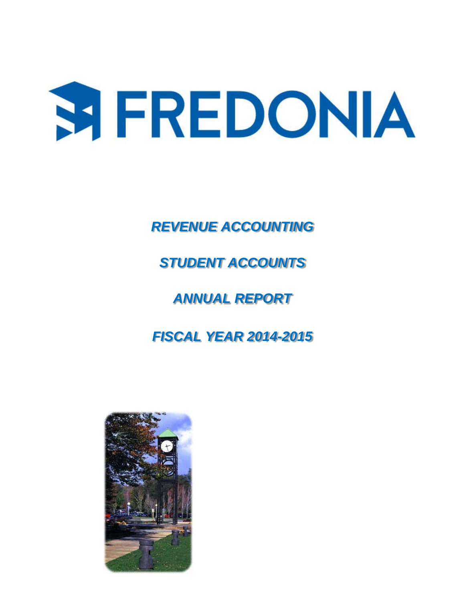# **SIFREDONIA**

*REVENUE ACCOUNTING* 

# *STUDENT ACCOUNTS*

# *ANNUAL REPORT*

# *FISCAL YEAR 2014-2015*

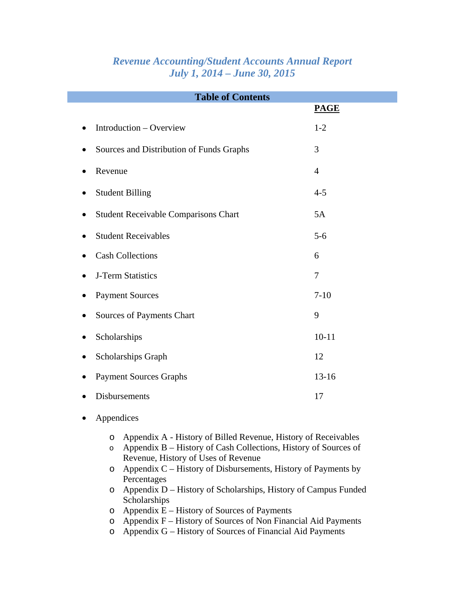| <b>Revenue Accounting/Student Accounts Annual Report</b> |  |
|----------------------------------------------------------|--|
| <b>July 1, 2014 – June 30, 2015</b>                      |  |

| <b>Table of Contents</b>                    |                |  |  |  |  |  |  |
|---------------------------------------------|----------------|--|--|--|--|--|--|
|                                             | <b>PAGE</b>    |  |  |  |  |  |  |
| Introduction - Overview<br>$\bullet$        | $1 - 2$        |  |  |  |  |  |  |
| Sources and Distribution of Funds Graphs    | 3              |  |  |  |  |  |  |
| Revenue                                     | $\overline{4}$ |  |  |  |  |  |  |
| <b>Student Billing</b>                      | $4 - 5$        |  |  |  |  |  |  |
| <b>Student Receivable Comparisons Chart</b> | 5A             |  |  |  |  |  |  |
| <b>Student Receivables</b><br>٠             | $5-6$          |  |  |  |  |  |  |
| <b>Cash Collections</b>                     | 6              |  |  |  |  |  |  |
| J-Term Statistics                           | $\tau$         |  |  |  |  |  |  |
| <b>Payment Sources</b>                      | $7 - 10$       |  |  |  |  |  |  |
| Sources of Payments Chart                   | 9              |  |  |  |  |  |  |
| Scholarships                                | $10 - 11$      |  |  |  |  |  |  |
| Scholarships Graph                          | 12             |  |  |  |  |  |  |
| <b>Payment Sources Graphs</b>               | $13 - 16$      |  |  |  |  |  |  |
| <b>Disbursements</b>                        | 17             |  |  |  |  |  |  |
| Appendices                                  |                |  |  |  |  |  |  |

- o Appendix A History of Billed Revenue, History of Receivables
- o Appendix B History of Cash Collections, History of Sources of Revenue, History of Uses of Revenue
- o Appendix C History of Disbursements, History of Payments by Percentages
- o Appendix D History of Scholarships, History of Campus Funded Scholarships
- $o$  Appendix  $E$  History of Sources of Payments
- o Appendix F History of Sources of Non Financial Aid Payments
- o Appendix G History of Sources of Financial Aid Payments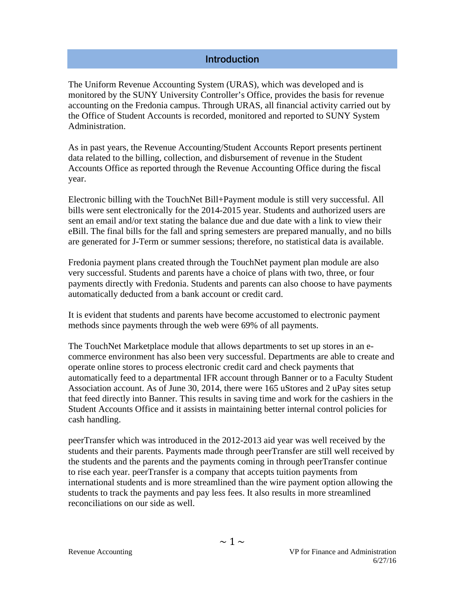#### **Introduction**

The Uniform Revenue Accounting System (URAS), which was developed and is monitored by the SUNY University Controller's Office, provides the basis for revenue accounting on the Fredonia campus. Through URAS, all financial activity carried out by the Office of Student Accounts is recorded, monitored and reported to SUNY System Administration.

As in past years, the Revenue Accounting/Student Accounts Report presents pertinent data related to the billing, collection, and disbursement of revenue in the Student Accounts Office as reported through the Revenue Accounting Office during the fiscal year.

Electronic billing with the TouchNet Bill+Payment module is still very successful. All bills were sent electronically for the 2014-2015 year. Students and authorized users are sent an email and/or text stating the balance due and due date with a link to view their eBill. The final bills for the fall and spring semesters are prepared manually, and no bills are generated for J-Term or summer sessions; therefore, no statistical data is available.

Fredonia payment plans created through the TouchNet payment plan module are also very successful. Students and parents have a choice of plans with two, three, or four payments directly with Fredonia. Students and parents can also choose to have payments automatically deducted from a bank account or credit card.

It is evident that students and parents have become accustomed to electronic payment methods since payments through the web were 69% of all payments.

The TouchNet Marketplace module that allows departments to set up stores in an ecommerce environment has also been very successful. Departments are able to create and operate online stores to process electronic credit card and check payments that automatically feed to a departmental IFR account through Banner or to a Faculty Student Association account. As of June 30, 2014, there were 165 uStores and 2 uPay sites setup that feed directly into Banner. This results in saving time and work for the cashiers in the Student Accounts Office and it assists in maintaining better internal control policies for cash handling.

peerTransfer which was introduced in the 2012-2013 aid year was well received by the students and their parents. Payments made through peerTransfer are still well received by the students and the parents and the payments coming in through peerTransfer continue to rise each year. peerTransfer is a company that accepts tuition payments from international students and is more streamlined than the wire payment option allowing the students to track the payments and pay less fees. It also results in more streamlined reconciliations on our side as well.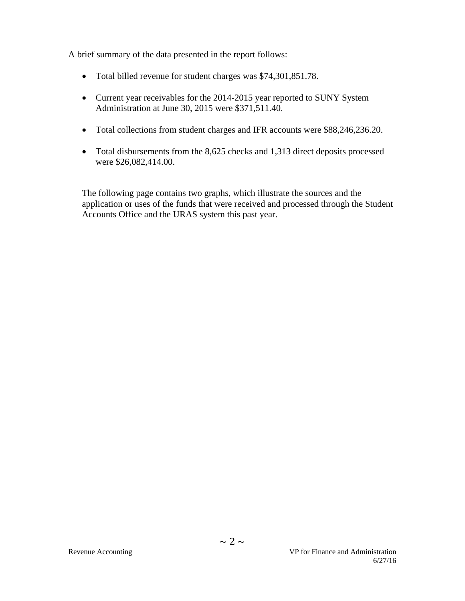A brief summary of the data presented in the report follows:

- Total billed revenue for student charges was \$74,301,851.78.
- Current year receivables for the 2014-2015 year reported to SUNY System Administration at June 30, 2015 were \$371,511.40.
- Total collections from student charges and IFR accounts were \$88,246,236.20.
- Total disbursements from the 8,625 checks and 1,313 direct deposits processed were \$26,082,414.00.

The following page contains two graphs, which illustrate the sources and the application or uses of the funds that were received and processed through the Student Accounts Office and the URAS system this past year.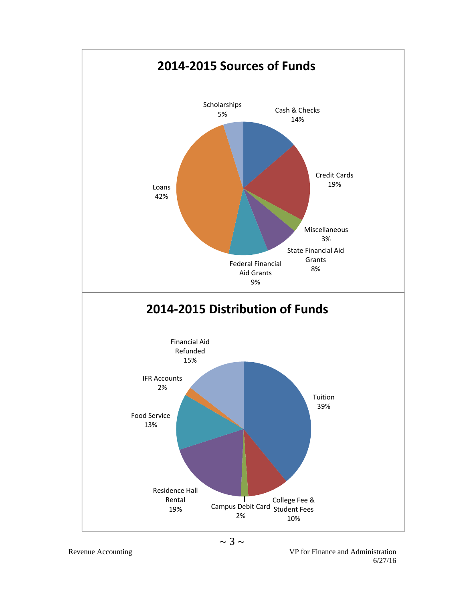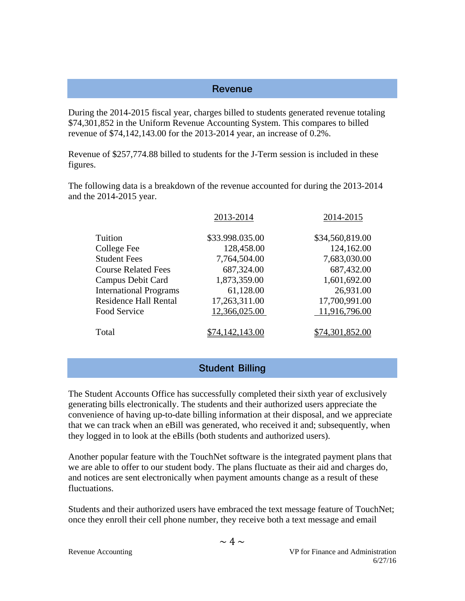#### **Revenue**

During the 2014-2015 fiscal year, charges billed to students generated revenue totaling \$74,301,852 in the Uniform Revenue Accounting System. This compares to billed revenue of \$74,142,143.00 for the 2013-2014 year, an increase of 0.2%.

Revenue of \$257,774.88 billed to students for the J-Term session is included in these figures.

The following data is a breakdown of the revenue accounted for during the 2013-2014 and the 2014-2015 year.

|                               | 2013-2014       | 2014-2015       |
|-------------------------------|-----------------|-----------------|
| Tuition                       | \$33.998.035.00 | \$34,560,819.00 |
| College Fee                   | 128,458.00      | 124,162.00      |
| <b>Student Fees</b>           | 7,764,504.00    | 7,683,030.00    |
| <b>Course Related Fees</b>    | 687,324.00      | 687,432.00      |
| Campus Debit Card             | 1,873,359.00    | 1,601,692.00    |
| <b>International Programs</b> | 61,128.00       | 26,931.00       |
| <b>Residence Hall Rental</b>  | 17,263,311.00   | 17,700,991.00   |
| Food Service                  | 12,366,025.00   | 11,916,796.00   |
| Total                         | 4,142,143.00    | 374,301,852.00  |

#### **Student Billing**

The Student Accounts Office has successfully completed their sixth year of exclusively generating bills electronically. The students and their authorized users appreciate the convenience of having up-to-date billing information at their disposal, and we appreciate that we can track when an eBill was generated, who received it and; subsequently, when they logged in to look at the eBills (both students and authorized users).

Another popular feature with the TouchNet software is the integrated payment plans that we are able to offer to our student body. The plans fluctuate as their aid and charges do, and notices are sent electronically when payment amounts change as a result of these fluctuations.

Students and their authorized users have embraced the text message feature of TouchNet; once they enroll their cell phone number, they receive both a text message and email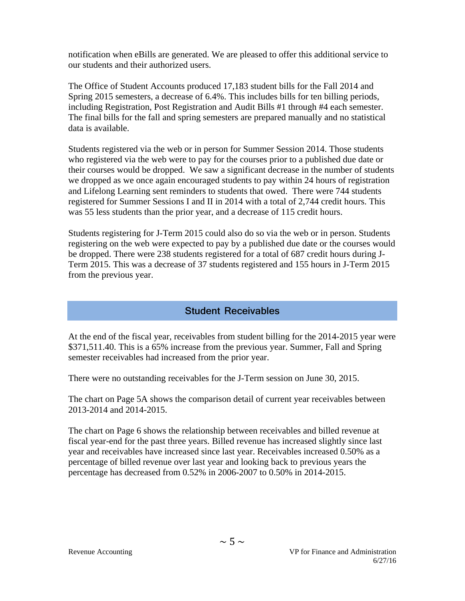notification when eBills are generated. We are pleased to offer this additional service to our students and their authorized users.

The Office of Student Accounts produced 17,183 student bills for the Fall 2014 and Spring 2015 semesters, a decrease of 6.4%. This includes bills for ten billing periods, including Registration, Post Registration and Audit Bills #1 through #4 each semester. The final bills for the fall and spring semesters are prepared manually and no statistical data is available.

Students registered via the web or in person for Summer Session 2014. Those students who registered via the web were to pay for the courses prior to a published due date or their courses would be dropped. We saw a significant decrease in the number of students we dropped as we once again encouraged students to pay within 24 hours of registration and Lifelong Learning sent reminders to students that owed. There were 744 students registered for Summer Sessions I and II in 2014 with a total of 2,744 credit hours. This was 55 less students than the prior year, and a decrease of 115 credit hours.

Students registering for J-Term 2015 could also do so via the web or in person. Students registering on the web were expected to pay by a published due date or the courses would be dropped. There were 238 students registered for a total of 687 credit hours during J-Term 2015. This was a decrease of 37 students registered and 155 hours in J-Term 2015 from the previous year.

# **Student Receivables**

At the end of the fiscal year, receivables from student billing for the 2014-2015 year were \$371,511.40. This is a 65% increase from the previous year. Summer, Fall and Spring semester receivables had increased from the prior year.

There were no outstanding receivables for the J-Term session on June 30, 2015.

The chart on Page 5A shows the comparison detail of current year receivables between 2013-2014 and 2014-2015.

The chart on Page 6 shows the relationship between receivables and billed revenue at fiscal year-end for the past three years. Billed revenue has increased slightly since last year and receivables have increased since last year. Receivables increased 0.50% as a percentage of billed revenue over last year and looking back to previous years the percentage has decreased from 0.52% in 2006-2007 to 0.50% in 2014-2015.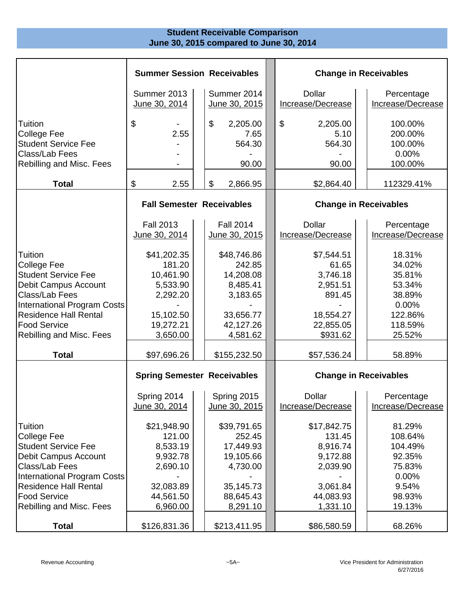## **Student Receivable Comparison June 30, 2015 compared to June 30, 2014**

|                                                                                                                                             | <b>Summer Session Receivables</b>                          |                                                             | <b>Change in Receivables</b>                              |                                                           |  |  |
|---------------------------------------------------------------------------------------------------------------------------------------------|------------------------------------------------------------|-------------------------------------------------------------|-----------------------------------------------------------|-----------------------------------------------------------|--|--|
|                                                                                                                                             | Summer 2013<br>June 30, 2014                               | Summer 2014<br>June 30, 2015                                | <b>Dollar</b><br>Increase/Decrease                        | Percentage<br>Increase/Decrease                           |  |  |
| Tuition<br><b>College Fee</b><br><b>Student Service Fee</b><br>Class/Lab Fees<br>Rebilling and Misc. Fees                                   | \$<br>2.55                                                 | \$<br>2,205.00<br>7.65<br>564.30<br>90.00                   | \$<br>2,205.00<br>5.10<br>564.30<br>90.00                 | 100.00%<br>200.00%<br>100.00%<br>0.00%<br>100.00%         |  |  |
| <b>Total</b>                                                                                                                                | \$<br>2.55                                                 | \$<br>2,866.95                                              | \$2,864.40                                                | 112329.41%                                                |  |  |
|                                                                                                                                             | <b>Fall Semester Receivables</b>                           |                                                             |                                                           | <b>Change in Receivables</b>                              |  |  |
|                                                                                                                                             | <b>Fall 2013</b><br>June 30, 2014                          | <b>Fall 2014</b><br>June 30, 2015                           | <b>Dollar</b><br>Increase/Decrease                        | Percentage<br>Increase/Decrease                           |  |  |
| Tuition<br><b>College Fee</b><br><b>Student Service Fee</b><br>Debit Campus Account<br>Class/Lab Fees<br><b>International Program Costs</b> | \$41,202.35<br>181.20<br>10,461.90<br>5,533.90<br>2,292.20 | \$48,746.86<br>242.85<br>14,208.08<br>8,485.41<br>3,183.65  | \$7,544.51<br>61.65<br>3,746.18<br>2,951.51<br>891.45     | 18.31%<br>34.02%<br>35.81%<br>53.34%<br>38.89%<br>0.00%   |  |  |
| <b>Residence Hall Rental</b><br><b>Food Service</b><br>Rebilling and Misc. Fees                                                             | 15,102.50<br>19,272.21<br>3,650.00                         | 33,656.77<br>42,127.26<br>4,581.62                          | 18,554.27<br>22,855.05<br>\$931.62                        | 122.86%<br>118.59%<br>25.52%                              |  |  |
| <b>Total</b>                                                                                                                                | \$97,696.26                                                | \$155,232.50                                                | \$57,536.24                                               | 58.89%                                                    |  |  |
|                                                                                                                                             | <b>Spring Semester Receivables</b>                         |                                                             |                                                           | <b>Change in Receivables</b>                              |  |  |
|                                                                                                                                             | Spring 2014<br>June 30, 2014                               | Spring 2015<br>June 30, 2015                                | <b>Dollar</b><br>Increase/Decrease                        | Percentage<br>Increase/Decrease                           |  |  |
| Tuition<br><b>College Fee</b><br><b>Student Service Fee</b><br>Debit Campus Account<br>Class/Lab Fees<br><b>International Program Costs</b> | \$21,948.90<br>121.00<br>8,533.19<br>9,932.78<br>2,690.10  | \$39,791.65<br>252.45<br>17,449.93<br>19,105.66<br>4,730.00 | \$17,842.75<br>131.45<br>8,916.74<br>9,172.88<br>2,039.90 | 81.29%<br>108.64%<br>104.49%<br>92.35%<br>75.83%<br>0.00% |  |  |
| <b>Residence Hall Rental</b><br><b>Food Service</b><br>Rebilling and Misc. Fees                                                             | 32,083.89<br>44,561.50<br>6,960.00                         | 35,145.73<br>88,645.43<br>8,291.10                          | 3,061.84<br>44,083.93<br>1,331.10                         | 9.54%<br>98.93%<br>19.13%                                 |  |  |
| <b>Total</b>                                                                                                                                | \$126,831.36                                               | \$213,411.95                                                | \$86,580.59                                               | 68.26%                                                    |  |  |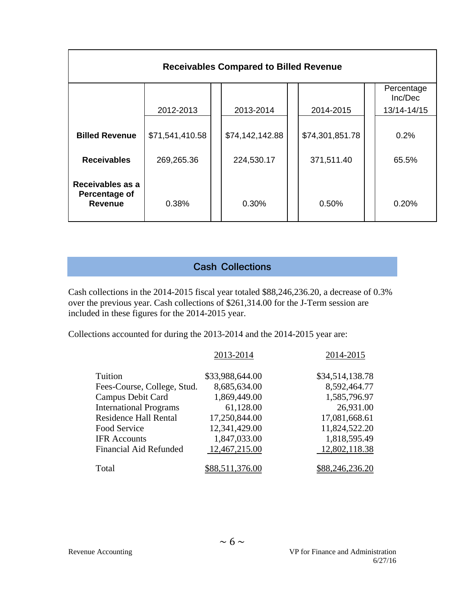| <b>Receivables Compared to Billed Revenue</b>       |                 |  |                 |  |                 |  |                       |  |
|-----------------------------------------------------|-----------------|--|-----------------|--|-----------------|--|-----------------------|--|
|                                                     |                 |  |                 |  |                 |  | Percentage<br>Inc/Dec |  |
|                                                     | 2012-2013       |  | 2013-2014       |  | 2014-2015       |  | 13/14-14/15           |  |
| <b>Billed Revenue</b>                               | \$71,541,410.58 |  | \$74,142,142.88 |  | \$74,301,851.78 |  | 0.2%                  |  |
| <b>Receivables</b>                                  | 269,265.36      |  | 224,530.17      |  | 371,511.40      |  | 65.5%                 |  |
| Receivables as a<br>Percentage of<br><b>Revenue</b> | 0.38%           |  | 0.30%           |  | 0.50%           |  | 0.20%                 |  |

# **Cash Collections**

Cash collections in the 2014-2015 fiscal year totaled \$88,246,236.20, a decrease of 0.3% over the previous year. Cash collections of \$261,314.00 for the J-Term session are included in these figures for the 2014-2015 year.

Collections accounted for during the 2013-2014 and the 2014-2015 year are:

|                               | 2013-2014       | 2014-2015       |
|-------------------------------|-----------------|-----------------|
| Tuition                       | \$33,988,644.00 | \$34,514,138.78 |
| Fees-Course, College, Stud.   | 8,685,634.00    | 8,592,464.77    |
| Campus Debit Card             | 1,869,449.00    | 1,585,796.97    |
| <b>International Programs</b> | 61,128.00       | 26,931.00       |
| <b>Residence Hall Rental</b>  | 17,250,844.00   | 17,081,668.61   |
| Food Service                  | 12,341,429.00   | 11,824,522.20   |
| <b>IFR</b> Accounts           | 1,847,033.00    | 1,818,595.49    |
| <b>Financial Aid Refunded</b> | 12,467,215.00   | 12,802,118.38   |
| Total                         | \$88,511,376.00 | \$88,246,236.20 |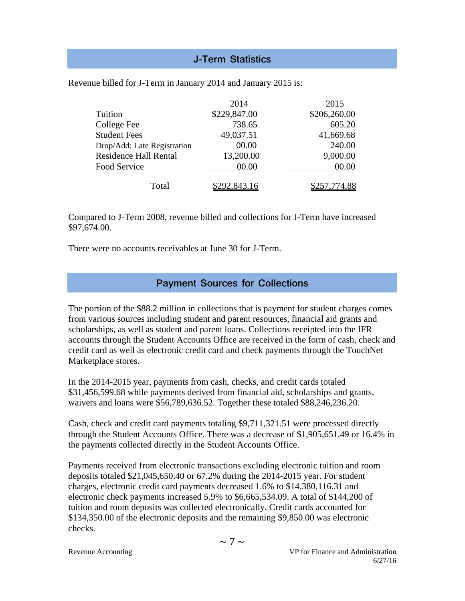# **J-Term Statistics**

|                              | 2014         | 2015         |
|------------------------------|--------------|--------------|
| Tuition                      | \$229,847.00 | \$206,260.00 |
| College Fee                  | 738.65       | 605.20       |
| <b>Student Fees</b>          | 49,037.51    | 41,669.68    |
| Drop/Add; Late Registration  | 00.00        | 240.00       |
| <b>Residence Hall Rental</b> | 13,200.00    | 9,000.00     |
| Food Service                 | 00.00        | 00.00        |
|                              |              |              |
| Total                        | .843.16      |              |

Revenue billed for J-Term in January 2014 and January 2015 is:

Compared to J-Term 2008, revenue billed and collections for J-Term have increased \$97,674.00.

There were no accounts receivables at June 30 for J-Term.

## **Payment Sources for Collections**

The portion of the \$88.2 million in collections that is payment for student charges comes from various sources including student and parent resources, financial aid grants and scholarships, as well as student and parent loans. Collections receipted into the IFR accounts through the Student Accounts Office are received in the form of cash, check and credit card as well as electronic credit card and check payments through the TouchNet Marketplace stores.

In the 2014-2015 year, payments from cash, checks, and credit cards totaled \$31,456,599.68 while payments derived from financial aid, scholarships and grants, waivers and loans were \$56,789,636.52. Together these totaled \$88,246,236.20.

Cash, check and credit card payments totaling \$9,711,321.51 were processed directly through the Student Accounts Office. There was a decrease of \$1,905,651.49 or 16.4% in the payments collected directly in the Student Accounts Office.

Payments received from electronic transactions excluding electronic tuition and room deposits totaled \$21,045,650.40 or 67.2% during the 2014-2015 year. For student charges, electronic credit card payments decreased 1.6% to \$14,380,116.31 and electronic check payments increased 5.9% to \$6,665,534.09. A total of \$144,200 of tuition and room deposits was collected electronically. Credit cards accounted for \$134,350.00 of the electronic deposits and the remaining \$9,850.00 was electronic checks.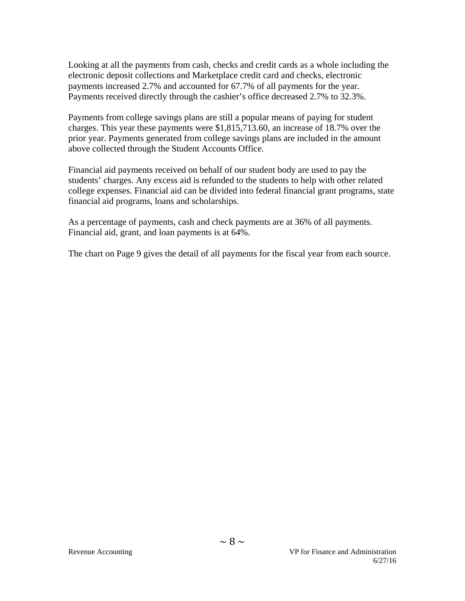Looking at all the payments from cash, checks and credit cards as a whole including the electronic deposit collections and Marketplace credit card and checks, electronic payments increased 2.7% and accounted for 67.7% of all payments for the year. Payments received directly through the cashier's office decreased 2.7% to 32.3%.

Payments from college savings plans are still a popular means of paying for student charges. This year these payments were \$1,815,713.60, an increase of 18.7% over the prior year. Payments generated from college savings plans are included in the amount above collected through the Student Accounts Office.

Financial aid payments received on behalf of our student body are used to pay the students' charges. Any excess aid is refunded to the students to help with other related college expenses. Financial aid can be divided into federal financial grant programs, state financial aid programs, loans and scholarships.

As a percentage of payments, cash and check payments are at 36% of all payments. Financial aid, grant, and loan payments is at 64%.

The chart on Page 9 gives the detail of all payments for the fiscal year from each source.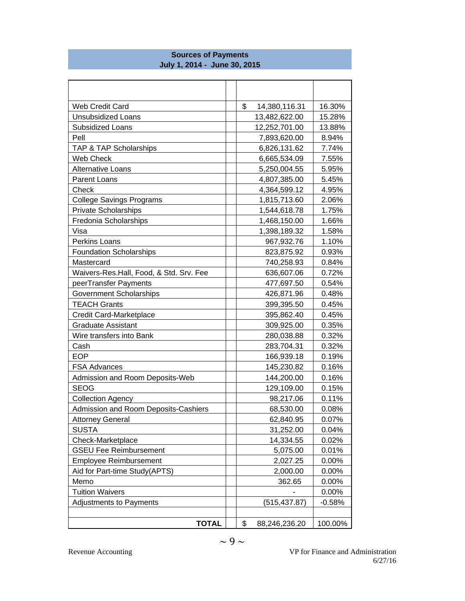| Web Credit Card                         | \$<br>14,380,116.31 | 16.30%   |
|-----------------------------------------|---------------------|----------|
| <b>Unsubsidized Loans</b>               | 13,482,622.00       | 15.28%   |
| Subsidized Loans                        | 12,252,701.00       | 13.88%   |
| Pell                                    | 7,893,620.00        | 8.94%    |
| TAP & TAP Scholarships                  | 6,826,131.62        | 7.74%    |
| Web Check                               | 6,665,534.09        | 7.55%    |
| Alternative Loans                       | 5,250,004.55        | 5.95%    |
| Parent Loans                            | 4,807,385.00        | 5.45%    |
| Check                                   | 4,364,599.12        | 4.95%    |
| <b>College Savings Programs</b>         | 1,815,713.60        | 2.06%    |
| <b>Private Scholarships</b>             | 1,544,618.78        | 1.75%    |
| Fredonia Scholarships                   | 1,468,150.00        | 1.66%    |
| Visa                                    | 1,398,189.32        | 1.58%    |
| Perkins Loans                           | 967,932.76          | 1.10%    |
| <b>Foundation Scholarships</b>          | 823,875.92          | 0.93%    |
| Mastercard                              | 740,258.93          | 0.84%    |
| Waivers-Res.Hall, Food, & Std. Srv. Fee | 636,607.06          | 0.72%    |
| peerTransfer Payments                   | 477,697.50          | 0.54%    |
| <b>Government Scholarships</b>          | 426,871.96          | 0.48%    |
| <b>TEACH Grants</b>                     | 399,395.50          | 0.45%    |
| Credit Card-Marketplace                 | 395,862.40          | 0.45%    |
| <b>Graduate Assistant</b>               | 309,925.00          | 0.35%    |
| Wire transfers into Bank                | 280,038.88          | 0.32%    |
| Cash                                    | 283,704.31          | 0.32%    |
| <b>EOP</b>                              | 166,939.18          | 0.19%    |
| <b>FSA Advances</b>                     | 145,230.82          | 0.16%    |
| Admission and Room Deposits-Web         | 144,200.00          | 0.16%    |
| <b>SEOG</b>                             | 129,109.00          | 0.15%    |
| <b>Collection Agency</b>                | 98,217.06           | 0.11%    |
| Admission and Room Deposits-Cashiers    | 68,530.00           | 0.08%    |
| <b>Attorney General</b>                 | 62,840.95           | 0.07%    |
| <b>SUSTA</b>                            | 31,252.00           | 0.04%    |
| Check-Marketplace                       | 14,334.55           | 0.02%    |
| <b>GSEU Fee Reimbursement</b>           | 5,075.00            | 0.01%    |
| <b>Employee Reimbursement</b>           | 2,027.25            | 0.00%    |
| Aid for Part-time Study(APTS)           | 2,000.00            | 0.00%    |
| Memo                                    | 362.65              | 0.00%    |
| <b>Tuition Waivers</b>                  |                     | 0.00%    |
| <b>Adjustments to Payments</b>          | (515, 437.87)       | $-0.58%$ |
|                                         |                     |          |
| <b>TOTAL</b>                            | \$<br>88,246,236.20 | 100.00%  |

#### **Sources of Payments July 1, 2014 - June 30, 2015**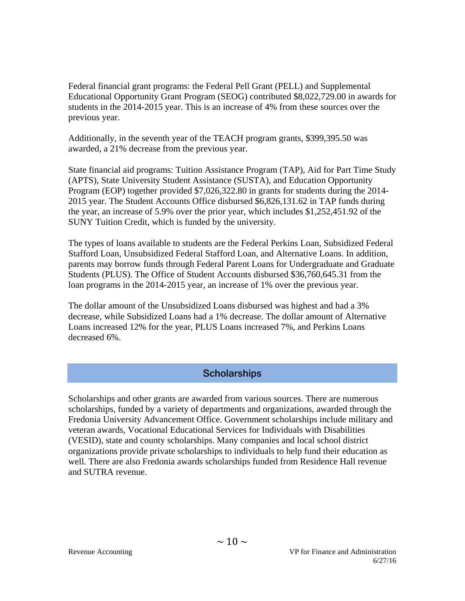Federal financial grant programs: the Federal Pell Grant (PELL) and Supplemental Educational Opportunity Grant Program (SEOG) contributed \$8,022,729.00 in awards for students in the 2014-2015 year. This is an increase of 4% from these sources over the previous year.

Additionally, in the seventh year of the TEACH program grants, \$399,395.50 was awarded, a 21% decrease from the previous year.

State financial aid programs: Tuition Assistance Program (TAP), Aid for Part Time Study (APTS), State University Student Assistance (SUSTA), and Education Opportunity Program (EOP) together provided \$7,026,322.80 in grants for students during the 2014- 2015 year. The Student Accounts Office disbursed \$6,826,131.62 in TAP funds during the year, an increase of 5.9% over the prior year, which includes \$1,252,451.92 of the SUNY Tuition Credit, which is funded by the university.

The types of loans available to students are the Federal Perkins Loan, Subsidized Federal Stafford Loan, Unsubsidized Federal Stafford Loan, and Alternative Loans. In addition, parents may borrow funds through Federal Parent Loans for Undergraduate and Graduate Students (PLUS). The Office of Student Accounts disbursed \$36,760,645.31 from the loan programs in the 2014-2015 year, an increase of 1% over the previous year.

The dollar amount of the Unsubsidized Loans disbursed was highest and had a 3% decrease, while Subsidized Loans had a 1% decrease. The dollar amount of Alternative Loans increased 12% for the year, PLUS Loans increased 7%, and Perkins Loans decreased 6%.

## **Scholarships**

Scholarships and other grants are awarded from various sources. There are numerous scholarships, funded by a variety of departments and organizations, awarded through the Fredonia University Advancement Office. Government scholarships include military and veteran awards, Vocational Educational Services for Individuals with Disabilities (VESID), state and county scholarships. Many companies and local school district organizations provide private scholarships to individuals to help fund their education as well. There are also Fredonia awards scholarships funded from Residence Hall revenue and SUTRA revenue.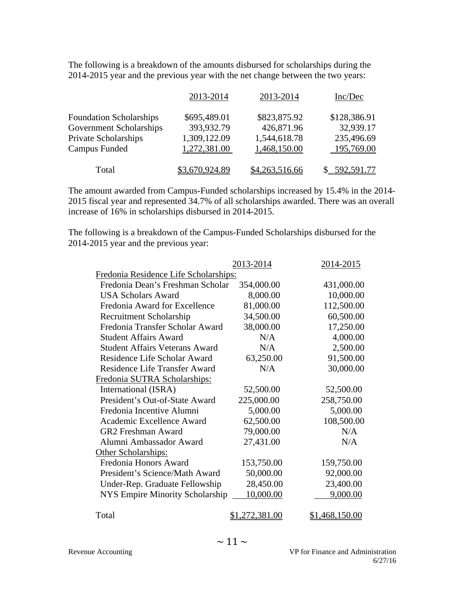The following is a breakdown of the amounts disbursed for scholarships during the 2014-2015 year and the previous year with the net change between the two years:

|                                | 2013-2014      | 2013-2014      | Inc/Dec      |
|--------------------------------|----------------|----------------|--------------|
| <b>Foundation Scholarships</b> | \$695,489.01   | \$823,875.92   | \$128,386.91 |
| <b>Government Scholarships</b> | 393,932.79     | 426,871.96     | 32,939.17    |
| Private Scholarships           | 1,309,122.09   | 1,544,618.78   | 235,496.69   |
| Campus Funded                  | 1,272,381.00   | 1,468,150.00   | 195,769.00   |
| Total                          | \$3,670,924.89 | \$4,263,516.66 | \$592,591.77 |

The amount awarded from Campus-Funded scholarships increased by 15.4% in the 2014- 2015 fiscal year and represented 34.7% of all scholarships awarded. There was an overall increase of 16% in scholarships disbursed in 2014-2015.

The following is a breakdown of the Campus-Funded Scholarships disbursed for the 2014-2015 year and the previous year:

|                                        | 2013-2014   | 2014-2015    |
|----------------------------------------|-------------|--------------|
| Fredonia Residence Life Scholarships:  |             |              |
| Fredonia Dean's Freshman Scholar       | 354,000.00  | 431,000.00   |
| <b>USA Scholars Award</b>              | 8,000.00    | 10,000.00    |
| Fredonia Award for Excellence          | 81,000.00   | 112,500.00   |
| Recruitment Scholarship                | 34,500.00   | 60,500.00    |
| Fredonia Transfer Scholar Award        | 38,000.00   | 17,250.00    |
| <b>Student Affairs Award</b>           | N/A         | 4,000.00     |
| <b>Student Affairs Veterans Award</b>  | N/A         | 2,500.00     |
| Residence Life Scholar Award           | 63,250.00   | 91,500.00    |
| <b>Residence Life Transfer Award</b>   | N/A         | 30,000.00    |
| Fredonia SUTRA Scholarships:           |             |              |
| International (ISRA)                   | 52,500.00   | 52,500.00    |
| President's Out-of-State Award         | 225,000.00  | 258,750.00   |
| Fredonia Incentive Alumni              | 5,000.00    | 5,000.00     |
| Academic Excellence Award              | 62,500.00   | 108,500.00   |
| <b>GR2</b> Freshman Award              | 79,000.00   | N/A          |
| Alumni Ambassador Award                | 27,431.00   | N/A          |
| Other Scholarships:                    |             |              |
| Fredonia Honors Award                  | 153,750.00  | 159,750.00   |
| President's Science/Math Award         | 50,000.00   | 92,000.00    |
| Under-Rep. Graduate Fellowship         | 28,450.00   | 23,400.00    |
| <b>NYS Empire Minority Scholarship</b> | 10,000.00   | 9,000.00     |
|                                        |             |              |
| Total                                  | .272,381.00 | 1,468,150.00 |
|                                        |             |              |

Revenue Accounting VP for Finance and Administration 6/27/16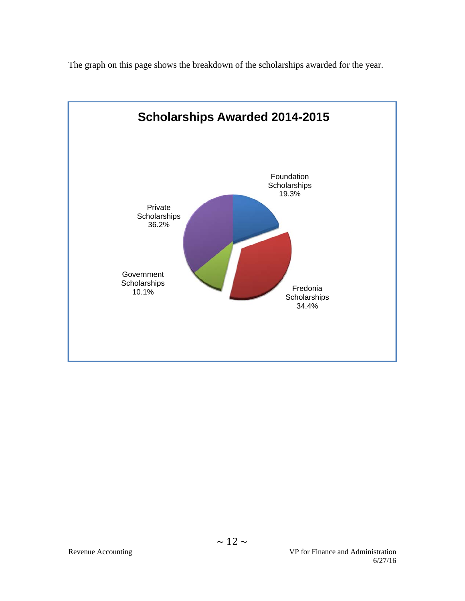The graph on this page shows the breakdown of the scholarships awarded for the year.

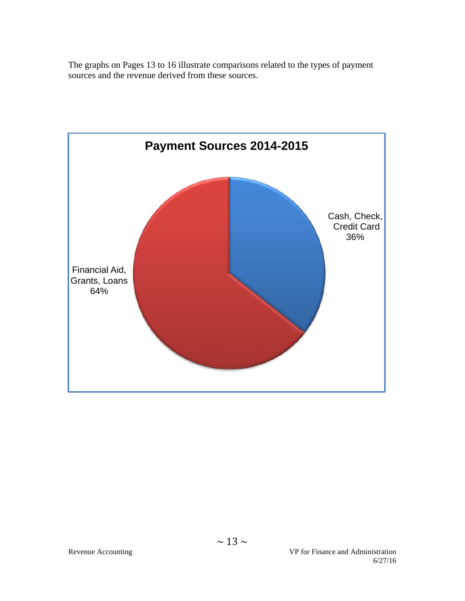The graphs on Pages 13 to 16 illustrate comparisons related to the types of payment sources and the revenue derived from these sources.

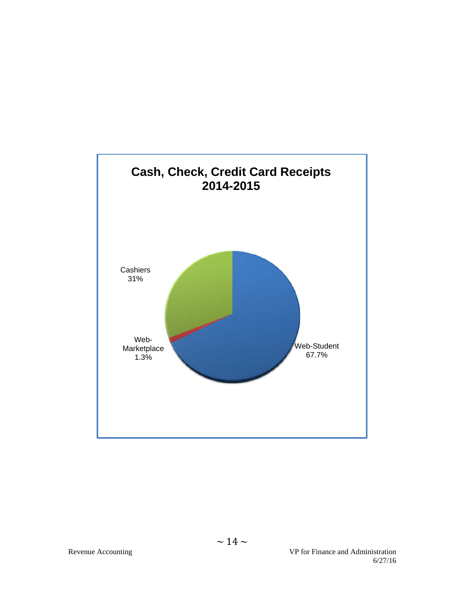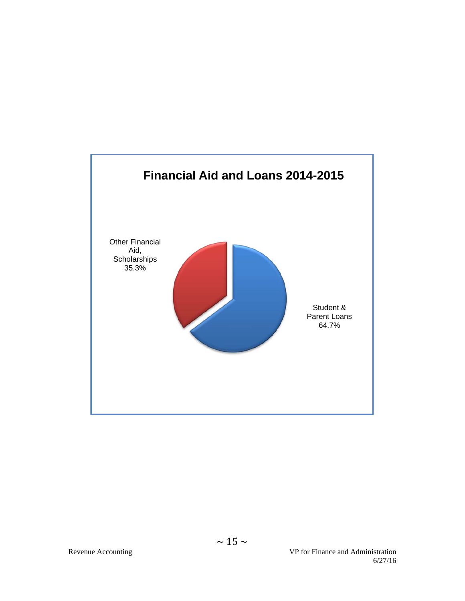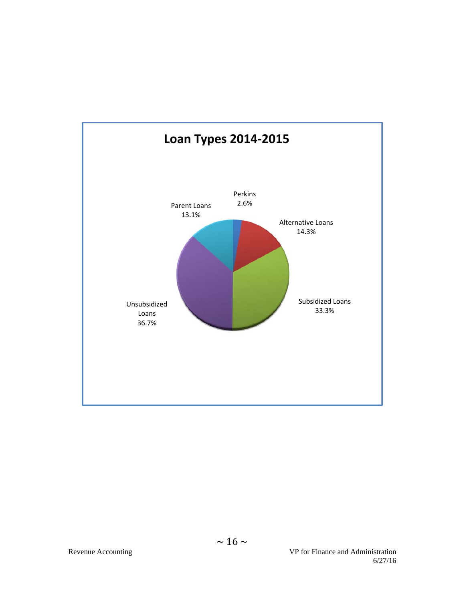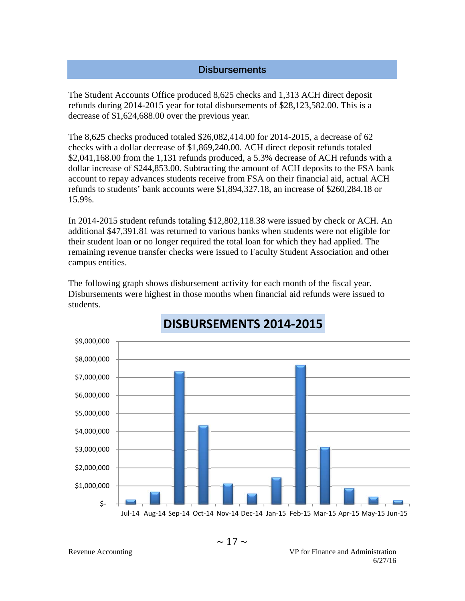## **Disbursements**

The Student Accounts Office produced 8,625 checks and 1,313 ACH direct deposit refunds during 2014-2015 year for total disbursements of \$28,123,582.00. This is a decrease of \$1,624,688.00 over the previous year.

The 8,625 checks produced totaled \$26,082,414.00 for 2014-2015, a decrease of 62 checks with a dollar decrease of \$1,869,240.00. ACH direct deposit refunds totaled \$2,041,168.00 from the 1,131 refunds produced, a 5.3% decrease of ACH refunds with a dollar increase of \$244,853.00. Subtracting the amount of ACH deposits to the FSA bank account to repay advances students receive from FSA on their financial aid, actual ACH refunds to students' bank accounts were \$1,894,327.18, an increase of \$260,284.18 or 15.9%.

In 2014-2015 student refunds totaling \$12,802,118.38 were issued by check or ACH. An additional \$47,391.81 was returned to various banks when students were not eligible for their student loan or no longer required the total loan for which they had applied. The remaining revenue transfer checks were issued to Faculty Student Association and other campus entities.

The following graph shows disbursement activity for each month of the fiscal year. Disbursements were highest in those months when financial aid refunds were issued to students.



# **DISBURSEMENTS 2014‐2015**

Jul‐14 Aug‐14 Sep‐14 Oct‐14 Nov‐14 Dec‐14 Jan‐15 Feb‐15 Mar‐15 Apr‐15 May‐15 Jun‐15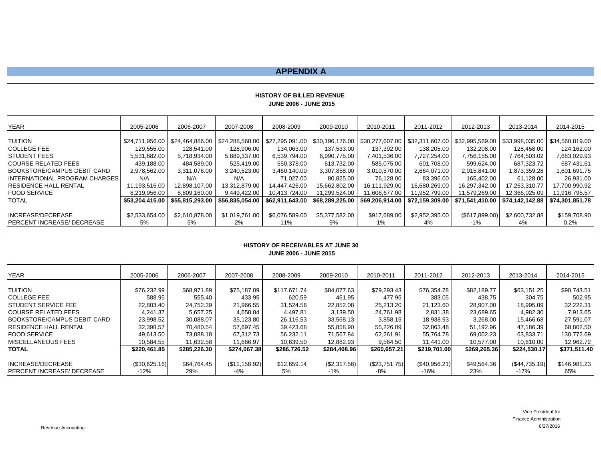#### **APPENDIX A**

| <b>HISTORY OF BILLED REVENUE</b><br><b>JUNE 2006 - JUNE 2015</b>                                                                                                       |                                                                                                                     |                                                                                                                     |                                                                                                                     |                                                                                                                            |                                                                                                                            |                                                                                                                                                |                                                                                                         |                                                                                                          |                                                                                                                                                |                                                                                                                            |
|------------------------------------------------------------------------------------------------------------------------------------------------------------------------|---------------------------------------------------------------------------------------------------------------------|---------------------------------------------------------------------------------------------------------------------|---------------------------------------------------------------------------------------------------------------------|----------------------------------------------------------------------------------------------------------------------------|----------------------------------------------------------------------------------------------------------------------------|------------------------------------------------------------------------------------------------------------------------------------------------|---------------------------------------------------------------------------------------------------------|----------------------------------------------------------------------------------------------------------|------------------------------------------------------------------------------------------------------------------------------------------------|----------------------------------------------------------------------------------------------------------------------------|
| YEAR                                                                                                                                                                   | 2005-2006                                                                                                           | 2006-2007                                                                                                           | 2007-2008                                                                                                           | 2008-2009                                                                                                                  | 2009-2010                                                                                                                  | 2010-2011                                                                                                                                      | 2011-2012                                                                                               | 2012-2013                                                                                                | 2013-2014                                                                                                                                      | 2014-2015                                                                                                                  |
| TUITION<br>COLLEGE FEE<br>STUDENT FEES<br>COURSE RELATED FEES<br>BOOKSTORE/CAMPUS DEBIT CARD<br>INTERNATIONAL PROGRAM CHARGES<br>RESIDENCE HALL RENTAL<br>FOOD SERVICE | \$24,711,956.00<br>129,555.00<br>5,531,682.00<br>439,188.00<br>2,978,562.00<br>N/A<br>11,193,516.00<br>8,219,956.00 | \$24,464,886.00<br>128,541.00<br>5,718,934.00<br>484,589.00<br>3,311,076.00<br>N/A<br>12,898,107.00<br>8,809,160.00 | \$24,288,568.00<br>128,906.00<br>5,889,337.00<br>525,419.00<br>3,240,523.00<br>N/A<br>13,312,879.00<br>9,449,422.00 | \$27,295,091.00<br>134,063.00<br>6,539,794.00<br>550,378.00<br>3,460,140.00<br>71.027.00<br>14,447,426.00<br>10,413,724.00 | \$30,196,176.00<br>137,533.00<br>6,990,775.00<br>613,732.00<br>3,307,858.00<br>80,825.00<br>15,662,802.00<br>11,299,524.00 | \$30,277,607.00   \$32,311,607.00  <br>137,392.00<br>7,401,536.00<br>585,075.00<br>3,010,570.00<br>76,128.00<br>16,111,929.00<br>11,606,677.00 | 138,205.00<br>7,727,254.00<br>601,708.00<br>2,664,071.00<br>83,396.00<br>16,680,269.00<br>11,952,799.00 | 132,208.00<br>7,756,155.00<br>599,624.00<br>2,015,841.00<br>165,402.00<br>16,297,342.00<br>11,579,269.00 | \$32,995,569.00   \$33,998,035.00  <br>128,458.00<br>7,764,503.02<br>687,323.72<br>1,873,359.28<br>61,128.00<br>17,263,310.77<br>12,366,025.09 | \$34,560,819.00<br>124,162.00<br>7,683,029.93<br>687,431.61<br>1,601,691.75<br>26,931.00<br>17,700,990.92<br>11,916,795.57 |
| TOTAL                                                                                                                                                                  | \$53,204,415.00                                                                                                     | \$55.815.293.00                                                                                                     | \$56,835,054.00                                                                                                     | \$62,911,643.00                                                                                                            | \$68,289,225.00                                                                                                            |                                                                                                                                                | \$69,206,914.00   \$72,159,309.00                                                                       | \$71,541,410.00                                                                                          | \$74.142.142.88                                                                                                                                | \$74,301,851.78                                                                                                            |
| INCREASE/DECREASE<br>PERCENT INCREASE/ DECREASE                                                                                                                        | \$2,533,654.00<br>5%                                                                                                | \$2,610,878.00<br>5%                                                                                                | \$1,019,761.00<br>2%                                                                                                | \$6,076,589.00<br>11%                                                                                                      | \$5,377,582.00<br>9%                                                                                                       | \$917,689.00<br>$1\%$                                                                                                                          | \$2,952,395.00<br>4%                                                                                    | (S617, 899.00)<br>$-1\%$                                                                                 | \$2,600,732.88<br>4%                                                                                                                           | \$159,708.90<br>0.2%                                                                                                       |

| <b>HISTORY OF RECEIVABLES AT JUNE 30</b><br><b>JUNE 2006 - JUNE 2015</b> |               |              |               |              |              |               |               |              |               |              |
|--------------------------------------------------------------------------|---------------|--------------|---------------|--------------|--------------|---------------|---------------|--------------|---------------|--------------|
| <b>YEAR</b>                                                              | 2005-2006     | 2006-2007    | 2007-2008     | 2008-2009    | 2009-2010    | 2010-2011     | 2011-2012     | 2012-2013    | 2013-2014     | 2014-2015    |
| <b>TUITION</b>                                                           | \$76,232.99   | \$68,971.89  | \$75,187.09   | \$117.671.74 | \$84,077.63  | \$79,293.43   | \$76,354.78   | \$82,189.77  | \$63,151.25   | \$90,743.51  |
| <b>COLLEGE FEE</b>                                                       | 588.95        | 555.40       | 433.95        | 620.59       | 461.95       | 477.95        | 383.05        | 438.75       | 304.75        | 502.95       |
| STUDENT SERVICE FEE                                                      | 22.803.40     | 24.752.39    | 21,966.55     | 31.524.56    | 22,852.08    | 25,213.20     | 21,123.60     | 28.907.00    | 18,995.09     | 32,222.31    |
| <b>COURSE RELATED FEES</b>                                               | 4.241.37      | 5.657.25     | 4,658.84      | 4.497.81     | 3,139.50     | 24,761.98     | 2,831.38      | 23,689.65    | 4,982.30      | 7,913.65     |
| BOOKSTORE/CAMPUS DEBIT CARD                                              | 23,998.52     | 30,088.07    | 35,123.80     | 26,116.53    | 33,568.13    | 3,858.15      | 18,938.93     | 3,268.00     | 15,466.68     | 27,591.07    |
| RESIDENCE HALL RENTAL                                                    | 32,398.57     | 70,480.54    | 57,697.45     | 39,423.68    | 55,858.90    | 55,226.09     | 32,863.48     | 51,192.96    | 47,186.39     | 68,802.50    |
| <b>FOOD SERVICE</b>                                                      | 49.613.50     | 73.088.18    | 67.312.73     | 56,232.11    | 71,567.84    | 62,261.91     | 55,764.78     | 69,002.23    | 63,833.71     | 130,772.69   |
| MISCELLANEOUS FEES                                                       | 10.584.55     | 11.632.58    | 11.686.97     | 10.639.50    | 12.882.93    | 9.564.50      | 11.441.00     | 10.577.00    | 10.610.00     | 12,962.72    |
| TOTAL                                                                    | \$220,461.85  | \$285,226.30 | \$274,067.38  | \$286,726.52 | \$284,408.96 | \$260,657.21  | \$219,701.00  | \$269,265.36 | \$224,530.17  | \$371,511.40 |
|                                                                          |               |              |               |              |              |               |               |              |               |              |
| INCREASE/DECREASE                                                        | (S30, 625.16) | \$64,764.45  | (\$11,158.92) | \$12,659.14  | (\$2,317.56) | (\$23,751.75) | (\$40,956.21) | \$49,564.36  | (\$44,735.19) | \$146,981.23 |
| PERCENT INCREASE/ DECREASE                                               | $-12%$        | 29%          | -4%           | 5%           | $-1\%$       | -8%           | -16%          | 23%          | -17%          | 65%          |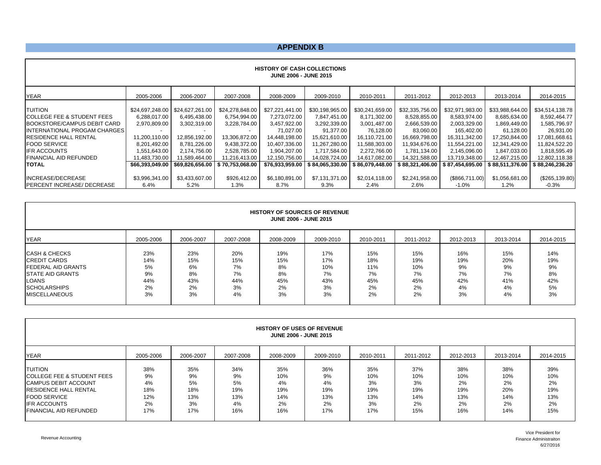#### **APPENDIX B**

|                                       |                 |                 |                                   | <b>HISTORY OF CASH COLLECTIONS</b><br><b>JUNE 2006 - JUNE 2015</b> |                 |                 |                 |                 |                 |                 |
|---------------------------------------|-----------------|-----------------|-----------------------------------|--------------------------------------------------------------------|-----------------|-----------------|-----------------|-----------------|-----------------|-----------------|
| <b>YEAR</b>                           | 2005-2006       | 2006-2007       | 2007-2008                         | 2008-2009                                                          | 2009-2010       | 2010-2011       | 2011-2012       | 2012-2013       | 2013-2014       | 2014-2015       |
| <b>TUITION</b>                        | \$24,697,248.00 | \$24,627,261.00 | \$24,278,848.00                   | \$27,221,441.00                                                    | \$30,198,965.00 | \$30,241,659.00 | \$32,335,756.00 | \$32,971,983.00 | \$33,988,644.00 | \$34,514,138.78 |
| <b>COLLEGE FEE &amp; STUDENT FEES</b> | 6,288,017.00    | 6,495,438.00    | 6,754,994.00                      | 7,273,072.00                                                       | 7,847,451.00    | 8,171,302.00    | 8,528,855.00    | 8,583,974.00    | 8,685,634.00    | 8,592,464.77    |
| BOOKSTORE/CAMPUS DEBIT CARD           | 2,970,809.00    | 3,302,319.00    | 3,228,784.00                      | 3,457,922.00                                                       | 3,292,339.00    | 3,001,487.00    | 2,666,539.00    | 2,003,329.00    | 1,869,449.00    | 1,585,796.97    |
| <b>INTERNATIONAL PROGAM CHARGES</b>   |                 |                 |                                   | 71,027.00                                                          | 91,377.00       | 76,128.00       | 83,060.00       | 165,402.00      | 61,128.00       | 26,931.00       |
| <b>IRESIDENCE HALL RENTAL</b>         | 11,200,110.00   | 12,856,192.00   | 13,306,872.00                     | 14,448,198.00                                                      | 15,621,610.00   | 16,110,721.00   | 16,669,798.00   | 16,311,342.00   | 17,250,844.00   | 17,081,668.61   |
| <b>IFOOD SERVICE</b>                  | 8,201,492.00    | 8,781,226.00    | 9,438,372.00                      | 10,407,336.00                                                      | 11,267,280.00   | 11,588,303.00   | 11,934,676.00   | 11,554,221.00   | 12,341,429.00   | 11,824,522.20   |
| <b>IFR ACCOUNTS</b>                   | 1,551,643.00    | 2,174,756.00    | 2,528,785.00                      | 1,904,207.00                                                       | 1,717,584.00    | 2,272,766.00    | 1,781,134.00    | 2,145,096.00    | 1,847,033.00    | 1,818,595.49    |
| <b>IFINANCIAL AID REFUNDED</b>        | 11.483.730.00   | 11,589,464.00   | 11,216,413.00                     | 12,150,756.00                                                      | 14,028,724.00   | 14,617,082.00   | 14,321,588.00   | 13,719,348.00   | 12,467,215.00   | 12,802,118.38   |
| TOTAL                                 | \$66,393,049.00 |                 | \$69,826,656.00   \$70,753,068.00 | \$76,933,959.00                                                    | \$84,065,330.00 | \$86,079,448.00 | \$88,321,406.00 | \$87,454,695.00 | \$88.511.376.00 | \$88,246,236.20 |
|                                       |                 |                 |                                   |                                                                    |                 |                 |                 |                 |                 |                 |
| <b>IINCREASE/DECREASE</b>             | \$3,996,341.00  | \$3,433,607.00  | \$926,412.00                      | \$6,180,891.00                                                     | \$7,131,371.00  | \$2,014,118.00  | \$2,241,958.00  | (S866, 711.00)  | \$1,056,681.00  | (\$265,139.80)  |
| <b>PERCENT INCREASE/ DECREASE</b>     | 6.4%            | 5.2%            | 1.3%                              | 8.7%                                                               | $9.3\%$         | 2.4%            | 2.6%            | -1.0%           | 1.2%            | $-0.3%$         |

|                                                                                                                                                                   |                                           |                                           |                                           | <b>HISTORY OF SOURCES OF REVENUE</b><br><b>JUNE 2006 - JUNE 2015</b> |                                            |                                            |                                            |                                           |                                           |                                           |
|-------------------------------------------------------------------------------------------------------------------------------------------------------------------|-------------------------------------------|-------------------------------------------|-------------------------------------------|----------------------------------------------------------------------|--------------------------------------------|--------------------------------------------|--------------------------------------------|-------------------------------------------|-------------------------------------------|-------------------------------------------|
| <b>YEAR</b>                                                                                                                                                       | 2005-2006                                 | 2006-2007                                 | 2007-2008                                 | 2008-2009                                                            | 2009-2010                                  | 2010-2011                                  | 2011-2012                                  | 2012-2013                                 | 2013-2014                                 | 2014-2015                                 |
| <b>CASH &amp; CHECKS</b><br><b>CREDIT CARDS</b><br><b>IFEDERAL AID GRANTS</b><br><b>ISTATE AID GRANTS</b><br>LOANS<br><b>SCHOLARSHIPS</b><br><b>MISCELLANEOUS</b> | 23%<br>14%<br>5%<br>9%<br>44%<br>2%<br>3% | 23%<br>15%<br>6%<br>8%<br>43%<br>2%<br>3% | 20%<br>15%<br>7%<br>7%<br>44%<br>3%<br>4% | 19%<br>15%<br>8%<br>8%<br>45%<br>2%<br>3%                            | 17%<br>17%<br>10%<br>7%<br>43%<br>3%<br>3% | 15%<br>18%<br>11%<br>7%<br>45%<br>2%<br>2% | 15%<br>19%<br>10%<br>7%<br>45%<br>2%<br>2% | 16%<br>19%<br>9%<br>7%<br>42%<br>4%<br>3% | 15%<br>20%<br>9%<br>7%<br>41%<br>4%<br>4% | 14%<br>19%<br>9%<br>8%<br>42%<br>5%<br>3% |

|                                       |           |           |           | <b>HISTORY OF USES OF REVENUE</b><br><b>JUNE 2006 - JUNE 2015</b> |           |           |           |           |           |           |
|---------------------------------------|-----------|-----------|-----------|-------------------------------------------------------------------|-----------|-----------|-----------|-----------|-----------|-----------|
| <b>YEAR</b>                           | 2005-2006 | 2006-2007 | 2007-2008 | 2008-2009                                                         | 2009-2010 | 2010-2011 | 2011-2012 | 2012-2013 | 2013-2014 | 2014-2015 |
| <b>TUITION</b>                        | 38%       | 35%       | 34%       | 35%                                                               | 36%       | 35%       | 37%       | 38%       | 38%       | 39%       |
| <b>COLLEGE FEE &amp; STUDENT FEES</b> | 9%        | 9%        | 9%        | 10%                                                               | 9%        | 10%       | 10%       | 10%       | 10%       | 10%       |
| <b>CAMPUS DEBIT ACCOUNT</b>           | 4%        | 5%        | 5%        | 4%                                                                | 4%        | 3%        | 3%        | 2%        | 2%        | 2%        |
| <b>IRESIDENCE HALL RENTAL</b>         | 18%       | 18%       | 19%       | 19%                                                               | 19%       | 19%       | 19%       | 19%       | 20%       | 19%       |
| <b>FOOD SERVICE</b>                   | 12%       | 13%       | 13%       | 14%                                                               | 13%       | 13%       | 14%       | 13%       | 14%       | 13%       |
| <b>IFR ACCOUNTS</b>                   | 2%        | 3%        | 4%        | 2%                                                                | 2%        | 3%        | 2%        | 2%        | 2%        | 2%        |
| <b>FINANCIAL AID REFUNDED</b>         | 17%       | 17%       | 16%       | 16%                                                               | 17%       | 17%       | 15%       | 16%       | 14%       | 15%       |

Revenue Accounting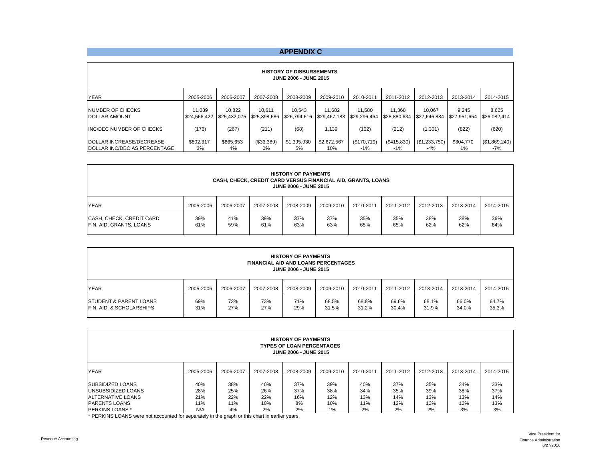#### **APPENDIX C**

|                                                          | <b>HISTORY OF DISBURSEMENTS</b><br><b>JUNE 2006 - JUNE 2015</b> |                        |                        |                        |                        |                        |                        |                        |                       |                       |  |  |  |  |
|----------------------------------------------------------|-----------------------------------------------------------------|------------------------|------------------------|------------------------|------------------------|------------------------|------------------------|------------------------|-----------------------|-----------------------|--|--|--|--|
| <b>YEAR</b>                                              | 2005-2006                                                       | 2006-2007              | 2007-2008              | 2008-2009              | 2009-2010              | 2010-2011              | 2011-2012              | 2012-2013              | 2013-2014             | 2014-2015             |  |  |  |  |
| <b>INUMBER OF CHECKS</b><br><b>IDOLLAR AMOUNT</b>        | 11.089<br>\$24,566,422                                          | 10.822<br>\$25,432,075 | 10.611<br>\$25,398,686 | 10.543<br>\$26,794,616 | 11.682<br>\$29.467.183 | 11.580<br>\$29.296.464 | 11.368<br>\$28.880.634 | 10.067<br>\$27.646.884 | 9.245<br>\$27,951,654 | 8.625<br>\$26,082,414 |  |  |  |  |
| <b>INC/DEC NUMBER OF CHECKS</b>                          | (176)                                                           | (267)                  | (211)                  | (68)                   | 1.139                  | (102)                  | (212)                  | (1,301)                | (822)                 | (620)                 |  |  |  |  |
| DOLLAR INCREASE/DECREASE<br>DOLLAR INC/DEC AS PERCENTAGE | \$802.317<br>3%                                                 | \$865.653<br>4%        | (\$33,389)<br>0%       | \$1,395,930<br>5%      | \$2,672,567<br>10%     | (\$170,719)<br>$-1\%$  | (\$415,830)<br>$-1\%$  | (\$1,233,750)<br>$-4%$ | \$304.770<br>$1\%$    | (\$1,869,240)<br>-7%  |  |  |  |  |

|                                                     |            |            | <b>CASH, CHECK, CREDIT CARD VERSUS FINANCIAL AID, GRANTS, LOANS</b> | <b>HISTORY OF PAYMENTS</b><br><b>JUNE 2006 - JUNE 2015</b> |            |            |            |            |            |            |
|-----------------------------------------------------|------------|------------|---------------------------------------------------------------------|------------------------------------------------------------|------------|------------|------------|------------|------------|------------|
| <b>YEAR</b>                                         | 2005-2006  | 2006-2007  | 2007-2008                                                           | 2008-2009                                                  | 2009-2010  | 2010-2011  | 2011-2012  | 2012-2013  | 2013-2014  | 2014-2015  |
| CASH, CHECK, CREDIT CARD<br>FIN. AID, GRANTS, LOANS | 39%<br>61% | 41%<br>59% | 39%<br>61%                                                          | 37%<br>63%                                                 | 37%<br>63% | 35%<br>65% | 35%<br>65% | 38%<br>62% | 38%<br>62% | 36%<br>64% |

|                                                                            |            |            | <b>FINANCIAL AID AND LOANS PERCENTAGES</b> | <b>HISTORY OF PAYMENTS</b><br><b>JUNE 2006 - JUNE 2015</b> |                |                |                |                |                |                |
|----------------------------------------------------------------------------|------------|------------|--------------------------------------------|------------------------------------------------------------|----------------|----------------|----------------|----------------|----------------|----------------|
| <b>YEAR</b>                                                                | 2005-2006  | 2006-2007  | 2007-2008                                  | 2008-2009                                                  | 2009-2010      | 2010-2011      | 2011-2012      | 2013-2014      | 2013-2014      | 2014-2015      |
| <b>ISTUDENT &amp; PARENT LOANS</b><br><b>IFIN. AID. &amp; SCHOLARSHIPS</b> | 69%<br>31% | 73%<br>27% | 73%<br>27%                                 | 71%<br>29%                                                 | 68.5%<br>31.5% | 68.8%<br>31.2% | 69.6%<br>30.4% | 68.1%<br>31.9% | 66.0%<br>34.0% | 64.7%<br>35.3% |

|                                                                                              |                          |                          |                          | <b>HISTORY OF PAYMENTS</b><br><b>TYPES OF LOAN PERCENTAGES</b><br>JUNE 2006 - JUNE 2015 |                          |                          |                          |                          |                          |                          |
|----------------------------------------------------------------------------------------------|--------------------------|--------------------------|--------------------------|-----------------------------------------------------------------------------------------|--------------------------|--------------------------|--------------------------|--------------------------|--------------------------|--------------------------|
| <b>YEAR</b>                                                                                  | 2005-2006                | 2006-2007                | 2007-2008                | 2008-2009                                                                               | 2009-2010                | 2010-2011                | 2011-2012                | 2012-2013                | 2013-2014                | 2014-2015                |
| ISUBSIDIZED LOANS<br>UNSUBSIDIZED LOANS<br><b>JALTERNATIVE LOANS</b><br><b>PARENTS LOANS</b> | 40%<br>28%<br>21%<br>11% | 38%<br>25%<br>22%<br>11% | 40%<br>26%<br>22%<br>10% | 37%<br>37%<br>16%<br>8%                                                                 | 39%<br>38%<br>12%<br>10% | 40%<br>34%<br>13%<br>11% | 37%<br>35%<br>14%<br>12% | 35%<br>39%<br>13%<br>12% | 34%<br>38%<br>13%<br>12% | 33%<br>37%<br>14%<br>13% |
| <b>IPERKINS LOANS*</b>                                                                       | N/A                      | 4%                       | 2%                       | 2%                                                                                      | 1%                       | 2%                       | 2%                       | 2%                       | 3%                       | 3%                       |

\* PERKINS LOANS were not accounted for separately in the graph or this chart in earlier years.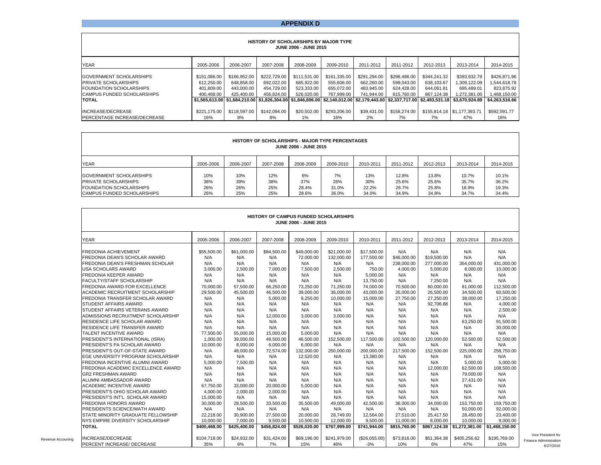#### **APPENDIX D**

|                                                                                                 |                                          |                                          |                                          | HISTORY OF SCHOLARSHIPS BY MAJOR TYPE<br><b>JUNE 2006 - JUNE 2015</b> |                                          |                                          |                                          |                                          |                                                                                                                                                        |                                            |
|-------------------------------------------------------------------------------------------------|------------------------------------------|------------------------------------------|------------------------------------------|-----------------------------------------------------------------------|------------------------------------------|------------------------------------------|------------------------------------------|------------------------------------------|--------------------------------------------------------------------------------------------------------------------------------------------------------|--------------------------------------------|
| <b>YEAR</b>                                                                                     | 2005-2006                                | 2006-2007                                | 2007-2008                                | 2008-2009                                                             | 2009-2010                                | 2011-2012                                | 2011-2012                                | 2012-2013                                | 2013-2014                                                                                                                                              | 2014-2015                                  |
| <b>GOVERNMENT SCHOLARSHIPS</b><br><b>PRIVATE SCHOLARSHIPS</b><br><b>FOUNDATION SCHOLARSHIPS</b> | \$151,086,00<br>612.250.00<br>401.809.00 | \$166,952.00<br>648.858.00<br>443.000.00 | \$222,729.00<br>692.022.00<br>454.729.00 | \$111.531.00<br>685.922.00<br>523.333.00                              | \$161,335,00<br>555.606.00<br>655.072.00 | \$291,294.00<br>662.260.00<br>483.945.00 | \$298,486.00<br>599.043.00<br>624.428.00 | \$344,241.32<br>638.103.67<br>644.061.81 | \$393,932.79<br>1.309.122.09<br>695.489.01                                                                                                             | \$426,871.96<br>1.544.618.78<br>823.875.92 |
| CAMPUS FUNDED SCHOLARSHIPS<br><b>ITOTAL</b>                                                     | 400.468.00                               | 425.400.00                               | 456.824.00                               | 526.020.00                                                            | 767.999.00                               | 741.944.00                               | 815.760.00                               | 867.124.38                               | 1.272.381.00<br>\$1.565.613.00 \$1.684.210.00 \$1.826.304.00 \$1.846.806.00 \$2.140.012.00 \$2.179.443.00 \$2.337.717.00 \$2.493.531.18 \$3.670.924.89 | 1,468,150.00<br>\$4,263,516.66             |
| INCREASE/DECREASE<br><b>PERCENTAGE INCREASE/DECREASE</b>                                        | \$221.175.00<br>16%                      | \$118,597.00<br>8%                       | \$142,094.00<br>8%                       | \$20,502.00<br>1%                                                     | \$293,206.00<br>16%                      | \$39.431.00<br>2%                        | \$158,274,00<br>7%                       | 7%                                       | \$155.814.18 \ \$1.177.393.71<br>47%                                                                                                                   | \$592.591.77<br>16%                        |

|                                                                                                                        |                          |                          |                          | <b>HISTORY OF SCHOLARSHIPS - MAJOR TYPE PERCENTAGES</b><br><b>JUNE 2006 - JUNE 2015</b> |                             |                              |                                  |                                  |                                  |                                  |
|------------------------------------------------------------------------------------------------------------------------|--------------------------|--------------------------|--------------------------|-----------------------------------------------------------------------------------------|-----------------------------|------------------------------|----------------------------------|----------------------------------|----------------------------------|----------------------------------|
| <b>YEAR</b>                                                                                                            | 2005-2006                | 2006-2007                | 2007-2008                | 2008-2009                                                                               | 2009-2010                   | 2010-2011                    | 2011-2012                        | 2012-2013                        | 2013-2014                        | 2014-2015                        |
| <b>GOVERNMENT SCHOLARSHIPS</b><br>PRIVATE SCHOLARSHIPS<br><b>FOUNDATION SCHOLARSHIPS</b><br>CAMPUS FUNDED SCHOLARSHIPS | 10%<br>38%<br>26%<br>26% | 10%<br>39%<br>26%<br>25% | 12%<br>38%<br>25%<br>25% | 6%<br>37%<br>28.4%<br>28.6%                                                             | 7%<br>26%<br>31.0%<br>36.0% | 13%<br>30%<br>22.2%<br>34.0% | 12.8%<br>25.6%<br>26.7%<br>34.9% | 13.8%<br>25.6%<br>25.8%<br>34.8% | 10.7%<br>35.7%<br>18.9%<br>34.7% | 10.1%<br>36.2%<br>19.3%<br>34.4% |

|                                            |              |              |              | <b>HISTORY OF CAMPUS FUNDED SCHOLARSHIPS</b><br>JUNE 2006 - JUNE 2015 |              |               |              |              |                |                |
|--------------------------------------------|--------------|--------------|--------------|-----------------------------------------------------------------------|--------------|---------------|--------------|--------------|----------------|----------------|
| <b>YEAR</b>                                | 2005-2006    | 2006-2007    | 2007-2008    | 2008-2009                                                             | 2009-2010    | 2010-2011     | 2011-2012    | 2012-2013    | 2013-2014      | 2014-2015      |
| <b>FREDONIA ACHIEVEMENT</b>                | \$55,500.00  | \$61,000.00  | \$84,500.00  | \$49,000,00                                                           | \$21,000.00  | \$17,500.00   | N/A          | N/A          | N/A            | N/A            |
| <b>FREDONIA DEAN'S SCHOLAR AWARD</b>       | N/A          | N/A          | N/A          | 72,000.00                                                             | 132,000.00   | 177,500.00    | \$46,000.00  | \$19,500.00  | N/A            | N/A            |
| <b>FREDONIA DEAN'S FRESHMAN SCHOLAR</b>    | N/A          | N/A          | N/A          | N/A                                                                   | N/A          | N/A           | 238,000.00   | 277,000.00   | 354,000.00     | 431,000.00     |
| <b>USA SCHOLARS AWARD</b>                  | 3.000.00     | 2.500.00     | 7.000.00     | 7.500.00                                                              | 2.500.00     | 750.00        | 4,000.00     | 5,000.00     | 8.000.00       | 10,000.00      |
| <b>FREDONIA KEEPER AWARD</b>               | N/A          | N/A          | N/A          | N/A                                                                   | N/A          | 5.000.00      | N/A          | N/A          | N/A            | N/A            |
| <b>FACULTY/STAFF SCHOLARSHIP</b>           | N/A          | N/A          | N/A          | N/A                                                                   | N/A          | 13,750.00     | N/A          | 7,250.00     | N/A            | N/A            |
| <b>FREDONIA AWARD FOR EXCELLENCE</b>       | 70,000.00    | 57,500.00    | 66,250.00    | 73.250.00                                                             | 71.250.00    | 74.000.00     | 70,500.00    | 60,000.00    | 81,000.00      | 112,500.00     |
| <b>ACADEMIC RECRUITMENT SCHOLARSHIP</b>    | 29.500.00    | 45,500.00    | 46,500.00    | 39,000.00                                                             | 36,000,00    | 43,000.00     | 35,000.00    | 26,500.00    | 34,500.00      | 60,500.00      |
| <b>FREDONIA TRANSFER SCHOLAR AWARD</b>     | N/A          | N/A          | 5.000.00     | 9.250.00                                                              | 10.000.00    | 15,000.00     | 27.750.00    | 27.250.00    | 38,000,00      | 17.250.00      |
| <b>STUDENT AFFAIRS AWARD</b>               | N/A          | N/A          | N/A          | N/A                                                                   | N/A          | N/A           | N/A          | 92,706.88    | N/A            | 4,000.00       |
| <b>STUDENT AFFAIRS VETERANS AWARD</b>      | N/A          | N/A          | N/A          | N/A                                                                   | N/A          | N/A           | N/A          | N/A          | N/A            | 2,500.00       |
| ADMISSIONS RECRUITMENT SCHOLARSHIP         | N/A          | N/A          | 12.000.00    | 3.000.00                                                              | 3.000.00     | N/A           | N/A          | N/A          | N/A            | N/A            |
| <b>RESIDENCE LIFE SCHOLAR AWARD</b>        | N/A          | N/A          | N/A          | N/A                                                                   | N/A          | N/A           | N/A          | N/A          | 63.250.00      | 91.500.00      |
| <b>RESIDENCE LIFE TRANSFER AWARD</b>       | N/A          | N/A          | N/A          | N/A                                                                   | N/A          | N/A           | N/A          | N/A          | N/A            | 30,000.00      |
| <b>TALENT INCENTIVE AWARD</b>              | 77.500.00    | 55.000.00    | 15.000.00    | 5,000.00                                                              | N/A          | N/A           | N/A          | N/A          | N/A            | N/A            |
| PRESIDENT'S INTERNATIONAL (ISRA)           | 1,000.00     | 39.000.00    | 49,500.00    | 46,500.00                                                             | 152,500.00   | 117.500.00    | 102.500.00   | 120,000.00   | 52,500.00      | 52,500.00      |
| <b>PRESIDENT'S PA SCHOLAR AWARD</b>        | 10.000.00    | 8,000.00     | 6,000.00     | 6.000.00                                                              | N/A          | N/A           | N/A          | N/A          | N/A            | N/A            |
| <b>PRESIDENT'S OUT-OF-STATE AWARD</b>      | N/A          | 48,000.00    | 72,574.00    | 132,000.00                                                            | 250,000.00   | 200,000.00    | 217,500.00   | 152,500.00   | 225,000.00     | 258,750.00     |
| <b>EGE UNIVERSITY PROGRAM SCHOLARSHIP</b>  | N/A          | N/A          | N/A          | 12,520.00                                                             | N/A          | 13,380.00     | N/A          | N/A          | N/A            | N/A            |
| <b>FREDONIA INCENTIVE ALUMNI AWARD</b>     | 5.000.00     | 7.500.00     | N/A          | N/A                                                                   | N/A          | N/A           | N/A          | N/A          | 5,000.00       | 5,000.00       |
| <b>FREDONIA ACADEMIC EXCELLENCE AWARD</b>  | N/A          | N/A          | N/A          | N/A                                                                   | N/A          | N/A           | N/A          | 12.000.00    | 62.500.00      | 108.500.00     |
| <b>GR2 FRESHMAN AWARD</b>                  | N/A          | N/A          | N/A          | N/A                                                                   | N/A          | N/A           | N/A          | N/A          | 79,000.00      | N/A            |
| ALUMNI AMBASSADOR AWARD                    | N/A          | N/A          | N/A          | N/A                                                                   | N/A          | N/A           | N/A          | N/A          | 27,431.00      | N/A            |
| <b>ACADEMIC INCENTIVE AWARD</b>            | 67.750.00    | 33.000.00    | 20.000.00    | 5.000.00                                                              | N/A          | N/A           | N/A          | N/A          | N/A            | N/A            |
| <b>PRESIDENT'S OHIO SCHOLAR AWARD</b>      | 4,000.00     | 2,000.00     | 2,000.00     | N/A                                                                   | N/A          | N/A           | N/A          | N/A          | N/A            | N/A            |
| <b>PRESIDENT'S INT'L. SCHOLAR AWARD</b>    | 15,000.00    | N/A          | N/A          | N/A                                                                   | N/A          | N/A           | N/A          | N/A          | N/A            | N/A            |
| <b>FREDONIA HONORS AWARD</b>               | 30,000.00    | 28.500.00    | 33,500.00    | 35.500.00                                                             | 49.000.00    | 42.500.00     | 36,000.00    | 34.000.00    | 153.750.00     | 159.750.00     |
| <b>PRESIDENTS SCIENCE/MATH AWARD</b>       | N/A          | N/A          | N/A          | N/A                                                                   | N/A          | N/A           | N/A          | N/A          | 50.000.00      | 92,000.00      |
| <b>ISTATE MINORITY GRADUATE FELLOWSHIP</b> | 22,218.00    | 30,900.00    | 27,500.00    | 20,000.00                                                             | 28,749.00    | 12,564.00     | 27,510.00    | 25,417.50    | 28,450.00      | 23,400.00      |
| NYS EMPIRE DIVERSITY SCHOLARSHIP           | 10,000.00    | 7,000.00     | 9,500.00     | 10,500.00                                                             | 12,000.00    | 9,500.00      | 11,000.00    | 8,000.00     | 10,000.00      | 9,000.00       |
| <b>TOTAL</b>                               | \$400,468.00 | \$425,400.00 | \$456,824.00 | \$526.020.00                                                          | \$767,999.00 | \$741,944.00  | \$815,760.00 | \$867,124.38 | \$1,272,381.00 | \$1,468,150.00 |
| INCREASE/DECREASE                          | \$104,718.00 | \$24,932.00  | \$31,424.00  | \$69,196.00                                                           | \$241,979.00 | (\$26,055.00) | \$73,816.00  | \$51,364.38  | \$405,256.62   | \$195,769.00   |
| <b>PERCENT INCREASE/ DECREASE</b>          | 35%          | 6%           | 7%           | 15%                                                                   | 46%          | $-3%$         | 10%          | 6%           | 47%            | 15%            |

Revenue Accouning

Vice President for Finance Administration6/27/2016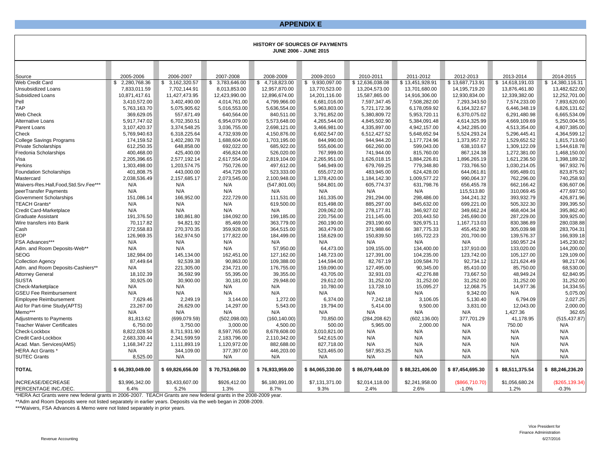#### **APPENDIX E**

|                                                                |                       |                       |                       |                      | <b>HISTORY OF SOURCES OF PAYMENTS</b><br><b>JUNE 2006 - JUNE 2015</b> |                      |                      |                       |                       |                      |
|----------------------------------------------------------------|-----------------------|-----------------------|-----------------------|----------------------|-----------------------------------------------------------------------|----------------------|----------------------|-----------------------|-----------------------|----------------------|
|                                                                |                       |                       |                       |                      |                                                                       |                      |                      |                       |                       |                      |
| Source                                                         | 2005-2006             | 2006-2007             | 2007-2008             | 2008-2009            | 2009-2010                                                             | 2010-2011            | 2011-2012            | 2012-2013             | 2013-2014             | 2014-2015            |
| Web Credit Card                                                | \$2,280,768.36        | \$ 3,162,320.57       | \$ 3,783,646.00       | \$4,718,823.00       | \$9,930,097.00                                                        | \$12,636,038.08      | \$13,451,928.91      | \$13,687,713.91       | \$14,618,191.03       | \$14,380,116.31      |
| <b>Unsubsidized Loans</b>                                      | 7,833,011.59          | 7,702,144.91          | 8,013,853.00          | 12,957,870.00        | 13,770,523.00                                                         | 13,204,573.00        | 13,701,680.00        | 14,195,719.20         | 13,876,461.80         | 13,482,622.00        |
| Subsidized Loans                                               | 10,871,417.61         | 11,427,473.95         | 12,423,990.00         | 12,896,674.00        | 14,201,116.00                                                         | 15,587,865.00        | 14,916,306.00        | 12,930,834.00         | 12,339,382.00         | 12,252,701.00        |
| Pell                                                           | 3,410,572.00          | 3,402,490.00          | 4,014,761.00          | 4,799,966.00         | 6,681,016.00                                                          | 7,597,347.45         | 7,508,282.00         | 7,293,343.50          | 7,574,233.00          | 7,893,620.00         |
| <b>TAP</b>                                                     | 5,763,163.70          | 5,075,905.62          | 5,016,553.00          | 5,636,554.00         | 5,963,803.00                                                          | 5,721,172.36         | 6,178,059.92         | 6,164,322.67          | 6.446.348.19          | 6,826,131.62         |
| Web Check                                                      | 369,629.05            | 557,671.49            | 640,564.00            | 840,511.00           | 3,791,852.00                                                          | 5,380,809.72         | 5,953,720.11         | 6,370,075.02          | 6,291,480.98          | 6,665,534.09         |
| Alternative Loans                                              | 5,917,747.02          | 6,702,350.51          | 6,954,079.00          | 5,573,648.00         | 4,265,544.00                                                          | 4,845,502.90         | 5,384,091.48         | 4,614,325.99          | 4,669,109.69          | 5,250,004.55         |
| Parent Loans                                                   | 3,107,420.37          | 3,374,548.25          | 3,036,755.00          | 2,698,121.00         | 3,466,981.00                                                          | 4,335,897.00         | 4,942,157.00         | 4,342,285.00          | 4,513,354.00          | 4,807,385.00         |
| Check                                                          | 5,769,940.63          | 6,318,225.64          | 4,732,939.00          | 4,150,876.00         | 6,602,547.00                                                          | 6,512,427.52         | 5,648,652.94         | 5,524,293.24          | 5,296,445.41          | 4,364,599.12         |
| <b>College Savings Programs</b>                                | 174,159.52            | 1,402,280.78          | 1,688,604.00          | 1,703,195.00         | 844,990.00                                                            | 944,944.20           | 1,177,724.96         | 1,373,957.72          | 1,529,652.52          | 1,815,713.60         |
| <b>Private Scholarships</b>                                    | 612,250.35            | 648,858.00            | 692,022.00            | 685,922.00           | 555,606.00                                                            | 662,260.00           | 599,043.00           | 638,103.67            | 1,309,122.09          | 1,544,618.78         |
| Fredonia Scholarships                                          | 400,468.00            | 425,400.00            | 456,824.00            | 526,020.00           | 767,999.00                                                            | 741,944.00           | 815,760.00           | 867,124.38            | 1,272,381.00          | 1,468,150.00         |
| Visa                                                           | 2,205,396.65          | 2,577,192.14          | 2,617,554.00          | 2,819,104.00         | 2,265,951.00                                                          | 1,626,018.15         | 1,884,226.81         | 1,896,265.19          | 1,621,236.50          | 1,398,189.32         |
| Perkins                                                        | 1,303,498.00          | 1,203,574.75          | 750,726.00            | 497,612.00           | 546,949.00                                                            | 679,769.25           | 779,348.80           | 733,766.50            | 1,030,214.05          | 967,932.76           |
| <b>Foundation Scholarships</b>                                 | 401,808.75            | 443,000.00            | 454,729.00            | 523,333.00           | 655,072.00                                                            | 483,945.00           | 624,428.00           | 644,061.81            | 695,489.01            | 823,875.92           |
| Mastercard                                                     | 2,038,536.49          | 2,157,685.17          | 2,073,545.00          | 2,100,948.00         | 1,378,420.00                                                          | 1,184,142.30         | 1,009,577.22         | 990,064.37            | 762,296.00            | 740,258.93           |
| Waivers-Res.Hall,Food,Std.Srv.Fee***                           | N/A                   | N/A                   | N/A                   | (547, 801.00)        | 584,801.00                                                            | 605,774.37           | 631,798.76           | 656,455.78            | 662,166.42            | 636,607.06           |
| peerTransfer Payments                                          | N/A                   | N/A                   | N/A                   | N/A                  | N/A                                                                   | N/A                  | N/A                  | 115,513.80            | 310,069.45            | 477,697.50           |
| Government Scholarships                                        | 151.086.14            | 166,952.00            | 222,729.00            | 111,531.00           | 161,335.00                                                            | 291,294.00           | 298,486.00           | 344,241.32            | 393,932.79            | 426,871.96           |
| <b>TEACH Grants*</b>                                           | N/A                   | N/A                   | N/A                   | 619,500.00           | 815,498.00                                                            | 885.297.00           | 845.632.00           | 699,221.00            | 505.322.30            | 399,395.50           |
| Credit Card-Marketplace                                        | N/A                   | N/A                   | N/A                   | N/A                  | 209,062.00                                                            | 278,177.81           | 346,927.02           | 349,662.24            | 468,404.34            | 395,862.40           |
| <b>Graduate Assistant</b>                                      | 191,376.50            | 180,861.80            | 184,092.00            | 199,185.00           | 220,756.00                                                            | 211,145.00           | 203,443.50           | 245,690.00            | 287,229.00            | 309,925.00           |
| Wire transfers into Bank                                       | 70,117.82             | 94,821.92             | 85,469.00             | 363,779.00           | 260,190.00                                                            | 293,190.60           | 926,975.11           | 1,167,713.03          | 830,386.89            | 280,038.88           |
| Cash                                                           | 272,558.83            | 270,370.35            | 359,928.00            | 364,515.00           | 363,479.00                                                            | 371,988.66           | 387,775.33           | 455,452.90            | 305,039.98            | 283,704.31           |
| <b>EOP</b>                                                     | 126,969.35            | 162,974.50            | 177,822.00            | 184,499.00           | 158,629.00                                                            | 150,839.50           | 165,722.23           | 201,700.00            | 139,576.37            | 166,939.18           |
| FSA Advances***                                                | N/A                   | N/A                   | N/A                   | N/A                  | N/A                                                                   | N/A                  | N/A                  | N/A                   | 160.957.24            | 145,230.82           |
| Adm. and Room Deposits-Web**                                   | N/A                   | N/A                   | N/A                   | 57,950.00            | 64,473.00                                                             | 109,155.00           | 134,400.00           | 137,910.00            | 133,020.00            | 144,200.00           |
| <b>SEOG</b>                                                    | 182.984.00            | 145,134.00            | 162,451.00            | 127,162.00           | 148,723.00                                                            | 127,391.00           | 104,235.00           | 123,742.00            | 105,127.00            | 129,109.00           |
| <b>Collection Agency</b>                                       | 87,449.64             | 92,539.38             | 90,863.00             | 109,388.00           | 144,594.00                                                            | 82,767.19            | 109,584.70           | 92,734.12             | 121,624.49            | 98,217.06            |
| Adm. and Room Deposits-Cashiers**                              | N/A                   | 221,305.00            | 234,721.00            | 176,755.00           | 159,090.00                                                            | 127,495.00           | 90,345.00            | 85,410.00             | 85,750.00             | 68,530.00            |
| <b>Attorney General</b>                                        | 18,102.39             | 36,592.99             | 55,395.00             | 39,355.00            | 43,705.00                                                             | 32,931.03            | 42,276.88            | 73,667.50             | 48,949.24             | 62,840.95            |
| <b>SUSTA</b>                                                   | 30,925.00             | 30,900.00             | 30,181.00             | 29,948.00            | 29,612.00                                                             | 31,252.00            | 31,252.00            | 31,252.00             | 31,252.00             | 31,252.00            |
| Check-Marketplace                                              | N/A                   | N/A<br>N/A            | N/A<br>N/A            | N/A                  | 10,780.00                                                             | 13,728.10            | 15,095.27            | 12,068.75<br>9,342.00 | 14,977.36             | 14,334.55            |
| <b>GSEU Fee Reimbursement</b>                                  | N/A                   |                       |                       | N/A                  | N/A                                                                   | N/A                  | N/A                  |                       | N/A                   | 5,075.00             |
| <b>Employee Reimbursement</b><br>Aid for Part-time Study(APTS) | 7,629.46<br>23.267.00 | 2,249.19<br>26,629.00 | 3,144.00<br>14,297.00 | 1,272.00<br>5.543.00 | 6,374.00<br>19,794.00                                                 | 7,242.18<br>5.414.00 | 3,106.05<br>9.500.00 | 5,130.40<br>3.831.00  | 6,794.09<br>12,043.00 | 2,027.25<br>2,000.00 |
| Memo***                                                        | N/A                   | N/A                   | N/A                   | N/A                  | N/A                                                                   | N/A                  | N/A                  | N/A                   | 1,427.36              | 362.65               |
| <b>Adjustments to Payments</b>                                 | 81,813.62             | (699, 079.59)         | (502,098.00)          | (160, 140.00)        | 70,850.00                                                             | (284, 208.62)        | (602, 136.00)        | 377,701.29            | 41,178.95             | (515, 437.87)        |
| <b>Teacher Waiver Certificates</b>                             | 6,750.00              | 3,750.00              | 3,000.00              | 4,500.00             | 500.00                                                                | 5,965.00             | 2,000.00             | N/A                   | 750.00                | N/A                  |
| Check-Lockbox                                                  | 8,822,028.50          | 8,711,931.90          | 8,597,765.00          | 8,678,608.00         | 3,010,821.00                                                          | N/A                  | N/A                  | N/A                   | N/A                   | N/A                  |
| Credit Card-Lockbox                                            | 2,683,330.44          | 2,341,599.59          | 2,183,796.00          | 2,110,342.00         | 542,615.00                                                            | N/A                  | N/A                  | N/A                   | N/A                   | N/A                  |
| Acad. Man. Services(AMS)                                       | 1,168,347.22          | 1,111,893.19          | 1,120,972.00          | 882,688.00           | 827,718.00                                                            | N/A                  | N/A                  | N/A                   | N/A                   | N/A                  |
| <b>HERA Act Grants *</b>                                       | N/A                   | 344,109.00            | 377,397.00            | 446,203.00           | 523,465.00                                                            | 587,953.25           | N/A                  | N/A                   | N/A                   | N/A                  |
| <b>SUTEC Grants</b>                                            | 8,525.00              | N/A                   | N/A                   | N/A                  | N/A                                                                   | N/A                  | N/A                  | N/A                   | N/A                   | N/A                  |
|                                                                |                       |                       |                       |                      |                                                                       |                      |                      |                       |                       |                      |
| <b>TOTAL</b>                                                   | \$66,393,049.00       | \$69,826,656.00       | \$70,753,068.00       | \$76,933,959.00      | \$84,065,330.00                                                       | \$86,079,448.00      | \$88,321,406.00      | \$87,454,695.30       | \$88,511,375.54       | \$88,246,236.20      |
| <b>INCREASE/DECREASE</b>                                       | \$3,996,342.00        | \$3,433,607.00        | \$926,412.00          | \$6,180,891.00       | \$7,131,371.00                                                        | \$2,014,118.00       | \$2,241,958.00       | (\$866,710.70)        | \$1,056,680.24        | (\$265, 139.34)      |
| PERCENTAGE INC./DEC.                                           | 6.4%                  | 5.2%                  | 1.3%                  | 8.7%                 | 9.3%                                                                  | 2.4%                 | 2.6%                 | $-1.0%$               | 1.2%                  | $-0.3%$              |

\*HERA Act Grants were new federal grants in 2006-2007. TEACH Grants are new federal grants in the 2008-2009 year.

\*\*Adm and Room Deposits were not listed separately in earlier years. Deposits via the web began in 2008-2009.

\*\*\*Waivers, FSA Advances & Memo were not listed separately in prior years.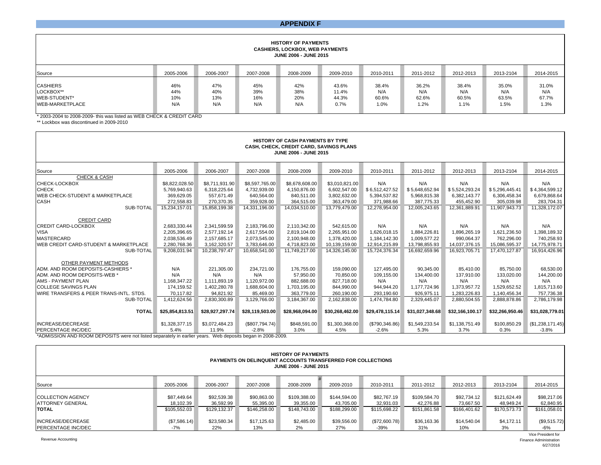#### **APPENDIX F**

#### **HISTORY OF PAYMENTS CASHIERS, LOCKBOX, WEB PAYMENTS JUNE 2006 - JUNE 2015**

| Source                                                                 | 2005-2006                | 2006-2007                | 2007-2008                | 2008-2009                | 2009-2010                       | 2010-2011                     | 2011-2012                     | 2012-2013                     | 2013-2104                     | 2014-2015                     |
|------------------------------------------------------------------------|--------------------------|--------------------------|--------------------------|--------------------------|---------------------------------|-------------------------------|-------------------------------|-------------------------------|-------------------------------|-------------------------------|
| <b>CASHIERS</b><br>LOCKBOX**<br>WEB-STUDENT*<br><b>WEB-MARKETPLACE</b> | 46%<br>44%<br>10%<br>N/A | 47%<br>40%<br>13%<br>N/A | 45%<br>39%<br>16%<br>N/A | 42%<br>38%<br>20%<br>N/A | 43.6%<br>11.4%<br>44.3%<br>0.7% | 38.4%<br>N/A<br>60.6%<br>1.0% | 36.2%<br>N/A<br>62.6%<br>1.2% | 38.4%<br>N/A<br>60.5%<br>1.1% | 35.0%<br>N/A<br>63.5%<br>1.5% | 31.0%<br>N/A<br>67.7%<br>1.3% |

\* 2003-2004 to 2008-2009- this was listed as WEB CHECK & CREDIT CARD

\*\* Lockbox was discontinued in 2009-2010

| <b>HISTORY OF CASH PAYMENTS BY TYPE</b><br>CASH, CHECK, CREDIT CARD, SAVINGS PLANS<br>JUNE 2006 - JUNE 2015                                                                                             |                                                                              |                                                                                |                                                                                |                                                                                     |                                                                                   |                                                                             |                                                                              |                                                                                |                                                                                |                                                                              |  |
|---------------------------------------------------------------------------------------------------------------------------------------------------------------------------------------------------------|------------------------------------------------------------------------------|--------------------------------------------------------------------------------|--------------------------------------------------------------------------------|-------------------------------------------------------------------------------------|-----------------------------------------------------------------------------------|-----------------------------------------------------------------------------|------------------------------------------------------------------------------|--------------------------------------------------------------------------------|--------------------------------------------------------------------------------|------------------------------------------------------------------------------|--|
| Source                                                                                                                                                                                                  | 2005-2006                                                                    | 2006-2007                                                                      | 2007-2008                                                                      | 2008-2009                                                                           | 2009-2010                                                                         | 2010-2011                                                                   | 2011-2012                                                                    | 2012-2013                                                                      | 2013-2104                                                                      | 2014-2015                                                                    |  |
| <b>CHECK &amp; CASH</b><br>CHECK-LOCKBOX<br><b>CHECK</b><br>WEB CHECK-STUDENT & MARKETPLACE<br><b>CASH</b><br>SUB-TOTAL                                                                                 | \$8,822,028.50<br>5,769,940.63<br>369,629.05<br>272.558.83<br>15,234,157.01  | \$8,711,931.90<br>6,318,225.64<br>557.671.49<br>270.370.35<br>15,858,199.38    | \$8,597,765.00<br>4,732,939.00<br>640,564.00<br>359,928.00<br>14,331,196.00    | \$8,678,608.00<br>4,150,876.00<br>840,511.00<br>364,515.00<br>14,034,510.00         | \$3,010,821.00<br>6,602,547.00<br>3,802,632.00<br>363,479.00<br>13,779,479.00     | N/A<br>\$6,512,427.52<br>5,394,537.82<br>371,988.66<br>12,278,954.00        | N/A<br>\$5,648,652.94<br>5,968,815.38<br>387,775.33<br>12,005,243.65         | N/A<br>\$5,524,293.24<br>6,382,143.77<br>455,452.90<br>12,361,889.91           | N/A<br>\$5,296,445.41<br>6,306,458.34<br>305,039.98<br>11,907,943.73           | N/A<br>\$4,364,599.12<br>6,679,868.64<br>283,704.31<br>11,328,172.07         |  |
| <b>CREDIT CARD</b><br><b>CREDIT CARD-LOCKBOX</b><br><b>VISA</b><br><b>MASTERCARD</b><br>WEB CREDIT CARD-STUDENT & MARKETPLACE<br>SUB-TOTAL                                                              | 2,683,330.44<br>2,205,396.65<br>2,038,536.49<br>2,280,768.36<br>9,208,031.94 | 2,341,599.59<br>2.577.192.14<br>2,157,685.17<br>3,162,320.57<br>10,238,797.47  | 2,183,796.00<br>2.617.554.00<br>2,073,545.00<br>3,783,646.00<br>10,658,541.00  | 2,110,342.00<br>2.819.104.00<br>2,100,948.00<br>4,718,823.00<br>11,749,217.00       | 542,615.00<br>2.265.951.00<br>1,378,420.00<br>10,139,159.00<br>14,326,145.00      | N/A<br>1.626.018.15<br>1.184.142.30<br>12,914,215.89<br>15,724,376.34       | N/A<br>1,884,226.81<br>1,009,577.22<br>13,798,855.93<br>16,692,659.96        | N/A<br>1.896.265.19<br>990.064.37<br>14,037,376.15<br>16,923,705.71            | N/A<br>1,621,236.50<br>762.296.00<br>15,086,595.37<br>17,470,127.87            | N/A<br>1,398,189.32<br>740,258.93<br>14,775,978.71<br>16,914,426.96          |  |
| OTHER PAYMENT METHODS<br>ADM. AND ROOM DEPOSITS-CASHIERS *<br>ADM. AND ROOM DEPOSITS-WEB *<br>AMS - PAYMENT PLAN<br><b>COLLEGE SAVINGS PLAN</b><br>WIRE TRANSFERS & PEER TRANS-INTL. STDS.<br>SUB-TOTAL | N/A<br>N/A<br>1,168,347.22<br>174,159.52<br>70.117.82<br>,412,624.56         | 221,305.00<br>N/A<br>1,111,893.19<br>1.402.280.78<br>94,821.92<br>2,830,300.89 | 234.721.00<br>N/A<br>1,120,972.00<br>1.688.604.00<br>85,469.00<br>3,129,766.00 | 176,755.00<br>57,950.00<br>882,688.00<br>1,703,195.00<br>363,779.00<br>3.184.367.00 | 159,090.00<br>70,850.00<br>827.718.00<br>844.990.00<br>260,190.00<br>2,162,838.00 | 127,495.00<br>109,155.00<br>N/A<br>944,944.20<br>293,190.60<br>1.474.784.80 | 90,345.00<br>134,400.00<br>N/A<br>1,177,724.96<br>926,975.11<br>2,329,445.07 | 85,410.00<br>137,910.00<br>N/A<br>1,373,957.72<br>1,283,226.83<br>2,880,504.55 | 85,750.00<br>133,020.00<br>N/A<br>1,529,652.52<br>1,140,456.34<br>2,888,878.86 | 68,530.00<br>144,200.00<br>N/A<br>1,815,713.60<br>757,736.38<br>2,786,179.98 |  |
| <b>TOTAL</b><br><b>INCREASE/DECREASE</b><br>PERCENTAGE INC/DEC                                                                                                                                          | \$25,854,813.51<br>\$1,328,377.15<br>5.4%                                    | \$28,927,297.74<br>\$3,072,484.23<br>11.9%                                     | \$28,119,503.00<br>(\$807,794.74)<br>$-2.8%$                                   | \$28,968,094.00<br>\$848,591.00<br>3.0%                                             | \$30,268,462.00<br>\$1,300,368.00<br>4.5%                                         | \$29,478,115.14<br>(\$790,346.86)<br>$-2.6%$                                | \$31,027,348.68<br>\$1,549,233.54<br>5.3%                                    | \$32,166,100.17<br>\$1,138,751.49<br>3.7%                                      | \$32,266,950.46<br>\$100,850.29<br>0.3%                                        | \$31,028,779.01<br>(\$1,238,171.45)<br>$-3.8%$                               |  |

\*ADMISSION AND ROOM DEPOSITS were not listed separately in earlier years. Web deposits began in 2008-2009.

| <b>HISTORY OF PAYMENTS</b><br><b>PAYMENTS ON DELINQUENT ACCOUNTS TRANSFERRED FOR COLLECTIONS</b><br>JUNE 2006 - JUNE 2015 |              |              |              |              |              |              |              |              |              |              |
|---------------------------------------------------------------------------------------------------------------------------|--------------|--------------|--------------|--------------|--------------|--------------|--------------|--------------|--------------|--------------|
| Source                                                                                                                    | 2005-2006    | 2006-2007    | 2007-2008    | 2008-2009    | 2009-2010    | 2010-2011    | 2011-2012    | 2012-2013    | 2013-2104    | 2014-2015    |
| <b>COLLECTION AGENCY</b>                                                                                                  | \$87,449.64  | \$92,539.38  | \$90,863.00  | \$109,388.00 | \$144,594.00 | \$82,767.19  | \$109,584.70 | \$92.734.12  | \$121,624.49 | \$98,217.06  |
| <b>ATTORNEY GENERAL</b>                                                                                                   | 18.102.39    | 36,592.99    | 55,395.00    | 39,355.00    | 43,705.00    | 32.931.03    | 42.276.88    | 73.667.50    | 48.949.24    | 62,840.95    |
| <b>TOTAL</b>                                                                                                              | \$105,552.03 | \$129.132.37 | \$146,258,00 | \$148.743.00 | \$188,299.00 | \$115,698,22 | \$151.861.58 | \$166,401.62 | \$170,573,73 | \$161,058.01 |
| INCREASE/DECREASE                                                                                                         | (S7, 586.14) | \$23,580.34  | \$17,125.63  | \$2.485.00   | \$39,556.00  | (S72.600.78) | \$36,163,36  | \$14,540.04  | \$4,172.11   | (\$9,515.72) |
| <b>PERCENTAGE INC/DEC</b>                                                                                                 | $-7%$        | 22%          | 13%          | 2%           | 27%          | -39%         | 31%          | 10%          | 3%           | $-6%$        |